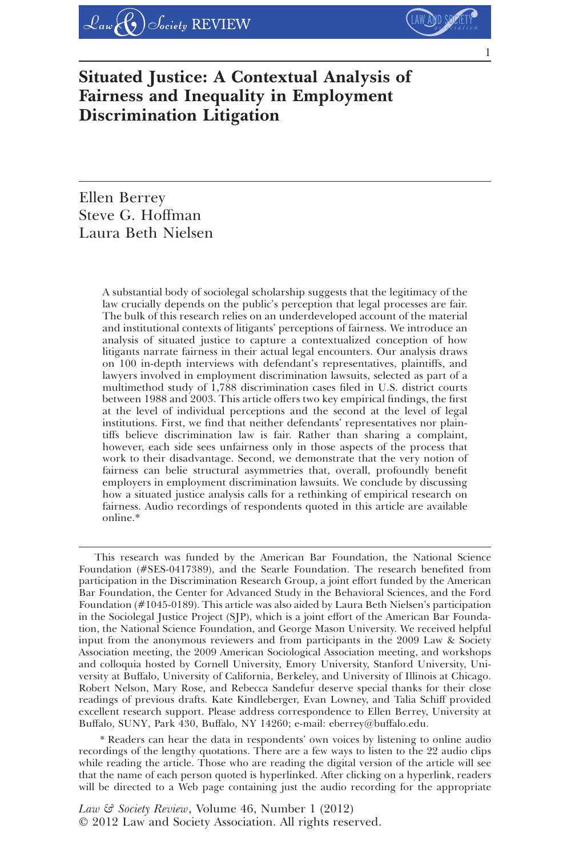1

# **Situated Justice: A Contextual Analysis of Fairness and Inequality in Employment Discrimination Litigation**

Ellen Berrey Steve G. Hoffman Laura Beth Nielsen

> A substantial body of sociolegal scholarship suggests that the legitimacy of the law crucially depends on the public's perception that legal processes are fair. The bulk of this research relies on an underdeveloped account of the material and institutional contexts of litigants' perceptions of fairness. We introduce an analysis of situated justice to capture a contextualized conception of how litigants narrate fairness in their actual legal encounters. Our analysis draws on 100 in-depth interviews with defendant's representatives, plaintiffs, and lawyers involved in employment discrimination lawsuits, selected as part of a multimethod study of 1,788 discrimination cases filed in U.S. district courts between 1988 and 2003. This article offers two key empirical findings, the first at the level of individual perceptions and the second at the level of legal institutions. First, we find that neither defendants' representatives nor plaintiffs believe discrimination law is fair. Rather than sharing a complaint, however, each side sees unfairness only in those aspects of the process that work to their disadvantage. Second, we demonstrate that the very notion of fairness can belie structural asymmetries that, overall, profoundly benefit employers in employment discrimination lawsuits. We conclude by discussing how a situated justice analysis calls for a rethinking of empirical research on fairness. Audio recordings of respondents quoted in this article are available online.\*

This research was funded by the American Bar Foundation, the National Science Foundation (#SES-0417389), and the Searle Foundation. The research benefited from participation in the Discrimination Research Group, a joint effort funded by the American Bar Foundation, the Center for Advanced Study in the Behavioral Sciences, and the Ford Foundation (#1045-0189). This article was also aided by Laura Beth Nielsen's participation in the Sociolegal Justice Project (SJP), which is a joint effort of the American Bar Foundation, the National Science Foundation, and George Mason University. We received helpful input from the anonymous reviewers and from participants in the 2009 Law & Society Association meeting, the 2009 American Sociological Association meeting, and workshops and colloquia hosted by Cornell University, Emory University, Stanford University, University at Buffalo, University of California, Berkeley, and University of Illinois at Chicago. Robert Nelson, Mary Rose, and Rebecca Sandefur deserve special thanks for their close readings of previous drafts. Kate Kindleberger, Evan Lowney, and Talia Schiff provided excellent research support. Please address correspondence to Ellen Berrey, University at Buffalo, SUNY, Park 430, Buffalo, NY 14260; e-mail: eberrey@buffalo.edu.

\* Readers can hear the data in respondents' own voices by listening to online audio recordings of the lengthy quotations. There are a few ways to listen to the 22 audio clips while reading the article. Those who are reading the digital version of the article will see that the name of each person quoted is hyperlinked. After clicking on a hyperlink, readers will be directed to a Web page containing just the audio recording for the appropriate

*Law & Society Review*, Volume 46, Number 1 (2012) © 2012 Law and Society Association. All rights reserved.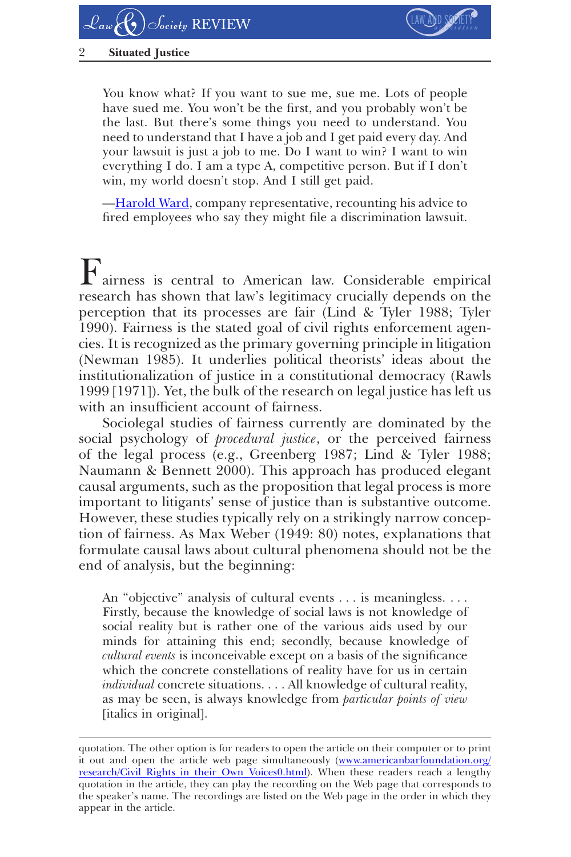

#### **Situated Justice**

You know what? If you want to sue me, sue me. Lots of people have sued me. You won't be the first, and you probably won't be the last. But there's some things you need to understand. You need to understand that I have a job and I get paid every day. And your lawsuit is just a job to me. Do I want to win? I want to win everything I do. I am a type A, competitive person. But if I don't win, my world doesn't stop. And I still get paid.

[—Harold Ward,](http://www.americanbarfoundation.org/media/Quote1HaroldWard.mp3) company representative, recounting his advice to fired employees who say they might file a discrimination lawsuit.

 $\mathbf{F}_{\text{airness}}$  is central to American law. Considerable empirical research has shown that law's legitimacy crucially depends on the perception that its processes are fair (Lind & Tyler 1988; Tyler 1990). Fairness is the stated goal of civil rights enforcement agencies. It is recognized as the primary governing principle in litigation (Newman 1985). It underlies political theorists' ideas about the institutionalization of justice in a constitutional democracy (Rawls 1999 [1971]). Yet, the bulk of the research on legal justice has left us with an insufficient account of fairness.

Sociolegal studies of fairness currently are dominated by the social psychology of *procedural justice*, or the perceived fairness of the legal process (e.g., Greenberg 1987; Lind & Tyler 1988; Naumann & Bennett 2000). This approach has produced elegant causal arguments, such as the proposition that legal process is more important to litigants' sense of justice than is substantive outcome. However, these studies typically rely on a strikingly narrow conception of fairness. As Max Weber (1949: 80) notes, explanations that formulate causal laws about cultural phenomena should not be the end of analysis, but the beginning:

An "objective" analysis of cultural events . . . is meaningless. . . . Firstly, because the knowledge of social laws is not knowledge of social reality but is rather one of the various aids used by our minds for attaining this end; secondly, because knowledge of *cultural events* is inconceivable except on a basis of the significance which the concrete constellations of reality have for us in certain *individual* concrete situations. . . . All knowledge of cultural reality, as may be seen, is always knowledge from *particular points of view* [italics in original].

quotation. The other option is for readers to open the article on their computer or to print it out and open the article web page simultaneously (www.americanbarfoundation.org/ research/Civil Rights in their Own Voices0.html). When these readers reach a lengthy quotation in the article, they can play the recording on the Web page that corresponds to the speaker's name. The recordings are listed on the Web page in the order in which they appear in the article.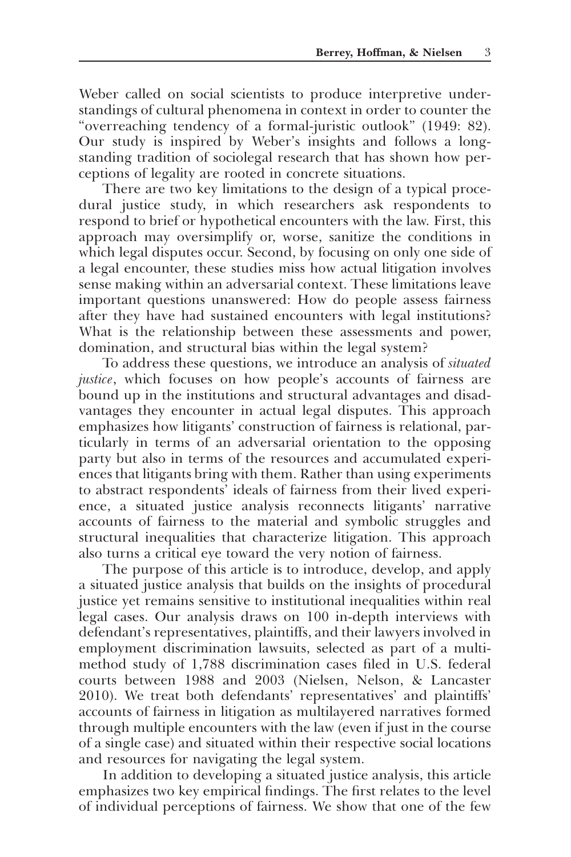Weber called on social scientists to produce interpretive understandings of cultural phenomena in context in order to counter the "overreaching tendency of a formal-juristic outlook" (1949: 82). Our study is inspired by Weber's insights and follows a longstanding tradition of sociolegal research that has shown how perceptions of legality are rooted in concrete situations.

There are two key limitations to the design of a typical procedural justice study, in which researchers ask respondents to respond to brief or hypothetical encounters with the law. First, this approach may oversimplify or, worse, sanitize the conditions in which legal disputes occur. Second, by focusing on only one side of a legal encounter, these studies miss how actual litigation involves sense making within an adversarial context. These limitations leave important questions unanswered: How do people assess fairness after they have had sustained encounters with legal institutions? What is the relationship between these assessments and power, domination, and structural bias within the legal system?

To address these questions, we introduce an analysis of *situated justice*, which focuses on how people's accounts of fairness are bound up in the institutions and structural advantages and disadvantages they encounter in actual legal disputes. This approach emphasizes how litigants' construction of fairness is relational, particularly in terms of an adversarial orientation to the opposing party but also in terms of the resources and accumulated experiences that litigants bring with them. Rather than using experiments to abstract respondents' ideals of fairness from their lived experience, a situated justice analysis reconnects litigants' narrative accounts of fairness to the material and symbolic struggles and structural inequalities that characterize litigation. This approach also turns a critical eye toward the very notion of fairness.

The purpose of this article is to introduce, develop, and apply a situated justice analysis that builds on the insights of procedural justice yet remains sensitive to institutional inequalities within real legal cases. Our analysis draws on 100 in-depth interviews with defendant's representatives, plaintiffs, and their lawyers involved in employment discrimination lawsuits, selected as part of a multimethod study of 1,788 discrimination cases filed in U.S. federal courts between 1988 and 2003 (Nielsen, Nelson, & Lancaster 2010). We treat both defendants' representatives' and plaintiffs' accounts of fairness in litigation as multilayered narratives formed through multiple encounters with the law (even if just in the course of a single case) and situated within their respective social locations and resources for navigating the legal system.

In addition to developing a situated justice analysis, this article emphasizes two key empirical findings. The first relates to the level of individual perceptions of fairness. We show that one of the few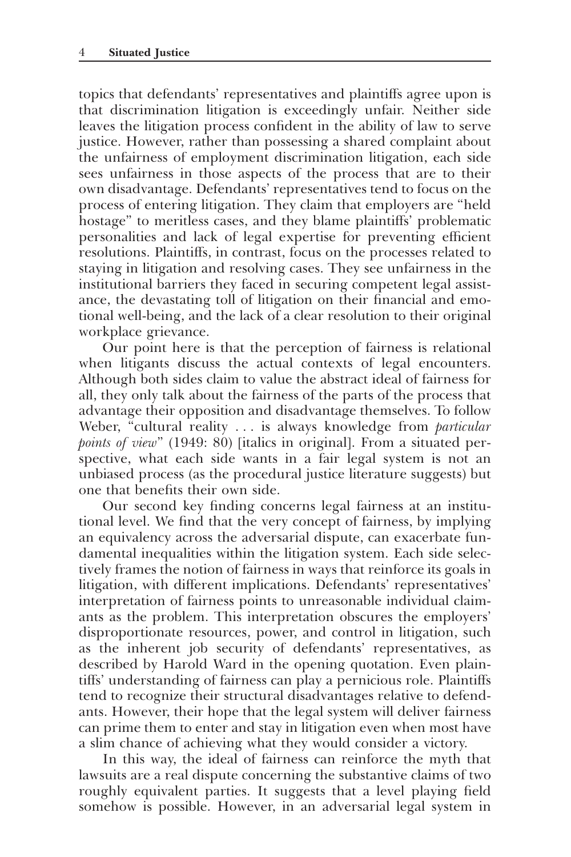topics that defendants' representatives and plaintiffs agree upon is that discrimination litigation is exceedingly unfair. Neither side leaves the litigation process confident in the ability of law to serve justice. However, rather than possessing a shared complaint about the unfairness of employment discrimination litigation, each side sees unfairness in those aspects of the process that are to their own disadvantage. Defendants' representatives tend to focus on the process of entering litigation. They claim that employers are "held hostage" to meritless cases, and they blame plaintiffs' problematic personalities and lack of legal expertise for preventing efficient resolutions. Plaintiffs, in contrast, focus on the processes related to staying in litigation and resolving cases. They see unfairness in the institutional barriers they faced in securing competent legal assistance, the devastating toll of litigation on their financial and emotional well-being, and the lack of a clear resolution to their original workplace grievance.

Our point here is that the perception of fairness is relational when litigants discuss the actual contexts of legal encounters. Although both sides claim to value the abstract ideal of fairness for all, they only talk about the fairness of the parts of the process that advantage their opposition and disadvantage themselves. To follow Weber, "cultural reality . . . is always knowledge from *particular points of view*" (1949: 80) [italics in original]. From a situated perspective, what each side wants in a fair legal system is not an unbiased process (as the procedural justice literature suggests) but one that benefits their own side.

Our second key finding concerns legal fairness at an institutional level. We find that the very concept of fairness, by implying an equivalency across the adversarial dispute, can exacerbate fundamental inequalities within the litigation system. Each side selectively frames the notion of fairness in ways that reinforce its goals in litigation, with different implications. Defendants' representatives' interpretation of fairness points to unreasonable individual claimants as the problem. This interpretation obscures the employers' disproportionate resources, power, and control in litigation, such as the inherent job security of defendants' representatives, as described by Harold Ward in the opening quotation. Even plaintiffs' understanding of fairness can play a pernicious role. Plaintiffs tend to recognize their structural disadvantages relative to defendants. However, their hope that the legal system will deliver fairness can prime them to enter and stay in litigation even when most have a slim chance of achieving what they would consider a victory.

In this way, the ideal of fairness can reinforce the myth that lawsuits are a real dispute concerning the substantive claims of two roughly equivalent parties. It suggests that a level playing field somehow is possible. However, in an adversarial legal system in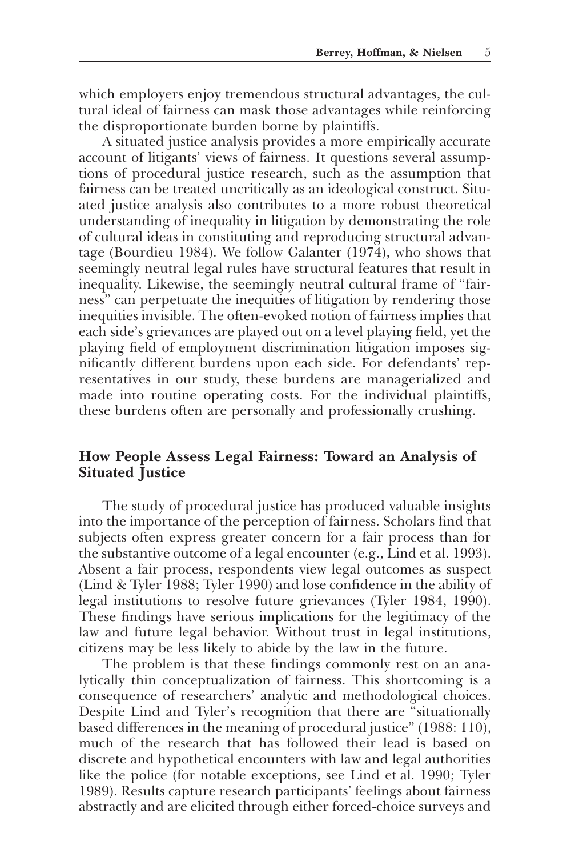which employers enjoy tremendous structural advantages, the cultural ideal of fairness can mask those advantages while reinforcing the disproportionate burden borne by plaintiffs.

A situated justice analysis provides a more empirically accurate account of litigants' views of fairness. It questions several assumptions of procedural justice research, such as the assumption that fairness can be treated uncritically as an ideological construct. Situated justice analysis also contributes to a more robust theoretical understanding of inequality in litigation by demonstrating the role of cultural ideas in constituting and reproducing structural advantage (Bourdieu 1984). We follow Galanter (1974), who shows that seemingly neutral legal rules have structural features that result in inequality. Likewise, the seemingly neutral cultural frame of "fairness" can perpetuate the inequities of litigation by rendering those inequities invisible. The often-evoked notion of fairness implies that each side's grievances are played out on a level playing field, yet the playing field of employment discrimination litigation imposes significantly different burdens upon each side. For defendants' representatives in our study, these burdens are managerialized and made into routine operating costs. For the individual plaintiffs, these burdens often are personally and professionally crushing.

# **How People Assess Legal Fairness: Toward an Analysis of Situated Justice**

The study of procedural justice has produced valuable insights into the importance of the perception of fairness. Scholars find that subjects often express greater concern for a fair process than for the substantive outcome of a legal encounter (e.g., Lind et al. 1993). Absent a fair process, respondents view legal outcomes as suspect (Lind & Tyler 1988; Tyler 1990) and lose confidence in the ability of legal institutions to resolve future grievances (Tyler 1984, 1990). These findings have serious implications for the legitimacy of the law and future legal behavior. Without trust in legal institutions, citizens may be less likely to abide by the law in the future.

The problem is that these findings commonly rest on an analytically thin conceptualization of fairness. This shortcoming is a consequence of researchers' analytic and methodological choices. Despite Lind and Tyler's recognition that there are "situationally based differences in the meaning of procedural justice" (1988: 110), much of the research that has followed their lead is based on discrete and hypothetical encounters with law and legal authorities like the police (for notable exceptions, see Lind et al. 1990; Tyler 1989). Results capture research participants' feelings about fairness abstractly and are elicited through either forced-choice surveys and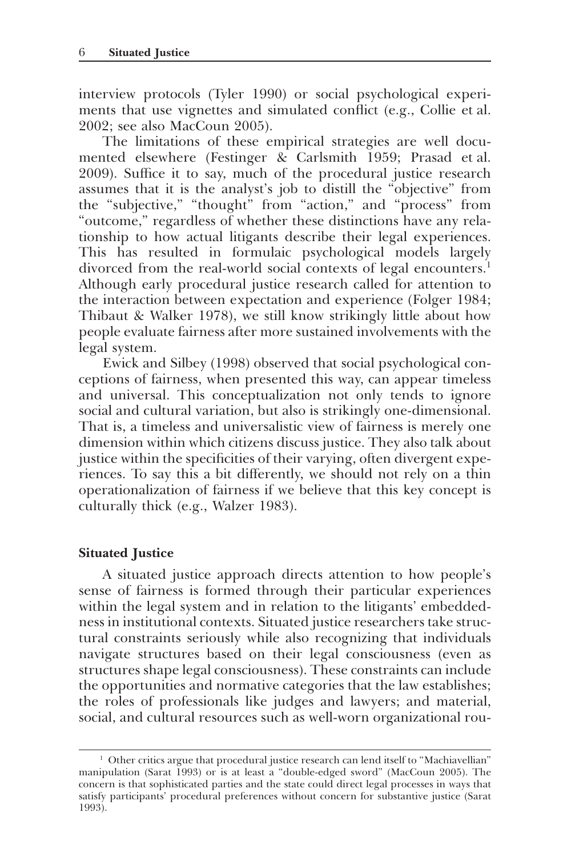interview protocols (Tyler 1990) or social psychological experiments that use vignettes and simulated conflict (e.g., Collie et al. 2002; see also MacCoun 2005).

The limitations of these empirical strategies are well documented elsewhere (Festinger & Carlsmith 1959; Prasad et al. 2009). Suffice it to say, much of the procedural justice research assumes that it is the analyst's job to distill the "objective" from the "subjective," "thought" from "action," and "process" from "outcome," regardless of whether these distinctions have any relationship to how actual litigants describe their legal experiences. This has resulted in formulaic psychological models largely divorced from the real-world social contexts of legal encounters.<sup>1</sup> Although early procedural justice research called for attention to the interaction between expectation and experience (Folger 1984; Thibaut & Walker 1978), we still know strikingly little about how people evaluate fairness after more sustained involvements with the legal system.

Ewick and Silbey (1998) observed that social psychological conceptions of fairness, when presented this way, can appear timeless and universal. This conceptualization not only tends to ignore social and cultural variation, but also is strikingly one-dimensional. That is, a timeless and universalistic view of fairness is merely one dimension within which citizens discuss justice. They also talk about justice within the specificities of their varying, often divergent experiences. To say this a bit differently, we should not rely on a thin operationalization of fairness if we believe that this key concept is culturally thick (e.g., Walzer 1983).

## **Situated Justice**

A situated justice approach directs attention to how people's sense of fairness is formed through their particular experiences within the legal system and in relation to the litigants' embeddedness in institutional contexts. Situated justice researchers take structural constraints seriously while also recognizing that individuals navigate structures based on their legal consciousness (even as structures shape legal consciousness). These constraints can include the opportunities and normative categories that the law establishes; the roles of professionals like judges and lawyers; and material, social, and cultural resources such as well-worn organizational rou-

<sup>&</sup>lt;sup>1</sup> Other critics argue that procedural justice research can lend itself to "Machiavellian" manipulation (Sarat 1993) or is at least a "double-edged sword" (MacCoun 2005). The concern is that sophisticated parties and the state could direct legal processes in ways that satisfy participants' procedural preferences without concern for substantive justice (Sarat 1993).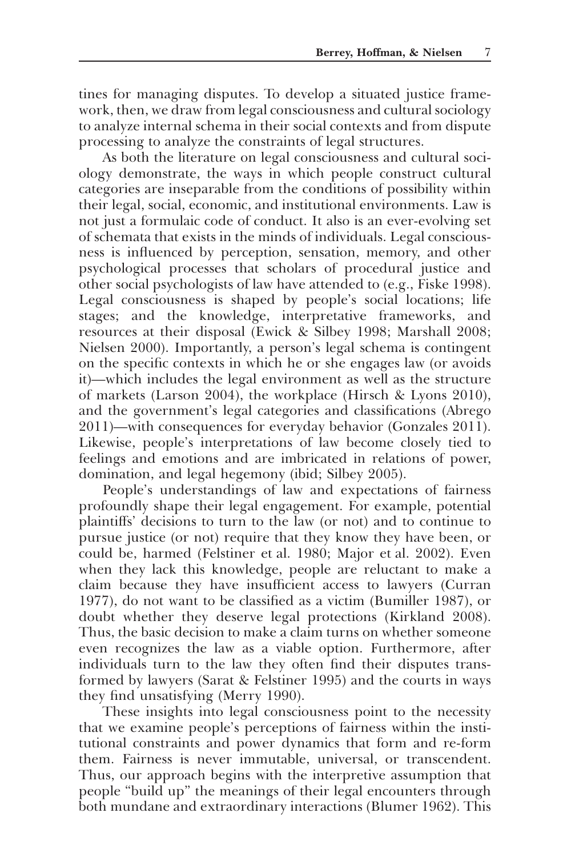tines for managing disputes. To develop a situated justice framework, then, we draw from legal consciousness and cultural sociology to analyze internal schema in their social contexts and from dispute processing to analyze the constraints of legal structures.

As both the literature on legal consciousness and cultural sociology demonstrate, the ways in which people construct cultural categories are inseparable from the conditions of possibility within their legal, social, economic, and institutional environments. Law is not just a formulaic code of conduct. It also is an ever-evolving set of schemata that exists in the minds of individuals. Legal consciousness is influenced by perception, sensation, memory, and other psychological processes that scholars of procedural justice and other social psychologists of law have attended to (e.g., Fiske 1998). Legal consciousness is shaped by people's social locations; life stages; and the knowledge, interpretative frameworks, and resources at their disposal (Ewick & Silbey 1998; Marshall 2008; Nielsen 2000). Importantly, a person's legal schema is contingent on the specific contexts in which he or she engages law (or avoids it)—which includes the legal environment as well as the structure of markets (Larson 2004), the workplace (Hirsch & Lyons 2010), and the government's legal categories and classifications (Abrego 2011)—with consequences for everyday behavior (Gonzales 2011). Likewise, people's interpretations of law become closely tied to feelings and emotions and are imbricated in relations of power, domination, and legal hegemony (ibid; Silbey 2005).

People's understandings of law and expectations of fairness profoundly shape their legal engagement. For example, potential plaintiffs' decisions to turn to the law (or not) and to continue to pursue justice (or not) require that they know they have been, or could be, harmed (Felstiner et al. 1980; Major et al. 2002). Even when they lack this knowledge, people are reluctant to make a claim because they have insufficient access to lawyers (Curran 1977), do not want to be classified as a victim (Bumiller 1987), or doubt whether they deserve legal protections (Kirkland 2008). Thus, the basic decision to make a claim turns on whether someone even recognizes the law as a viable option. Furthermore, after individuals turn to the law they often find their disputes transformed by lawyers (Sarat & Felstiner 1995) and the courts in ways they find unsatisfying (Merry 1990).

These insights into legal consciousness point to the necessity that we examine people's perceptions of fairness within the institutional constraints and power dynamics that form and re-form them. Fairness is never immutable, universal, or transcendent. Thus, our approach begins with the interpretive assumption that people "build up" the meanings of their legal encounters through both mundane and extraordinary interactions (Blumer 1962). This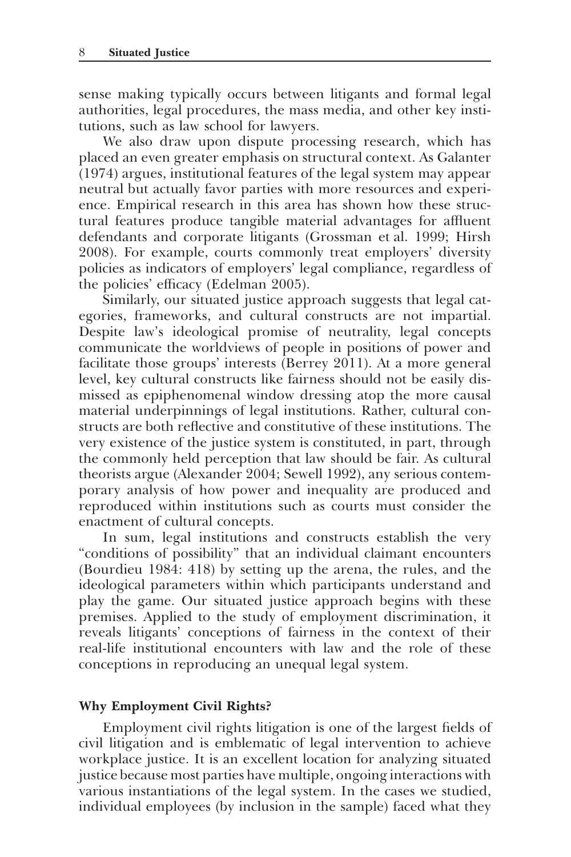sense making typically occurs between litigants and formal legal authorities, legal procedures, the mass media, and other key institutions, such as law school for lawyers.

We also draw upon dispute processing research, which has placed an even greater emphasis on structural context. As Galanter (1974) argues, institutional features of the legal system may appear neutral but actually favor parties with more resources and experience. Empirical research in this area has shown how these structural features produce tangible material advantages for affluent defendants and corporate litigants (Grossman et al. 1999; Hirsh 2008). For example, courts commonly treat employers' diversity policies as indicators of employers' legal compliance, regardless of the policies' efficacy (Edelman 2005).

Similarly, our situated justice approach suggests that legal categories, frameworks, and cultural constructs are not impartial. Despite law's ideological promise of neutrality, legal concepts communicate the worldviews of people in positions of power and facilitate those groups' interests (Berrey 2011). At a more general level, key cultural constructs like fairness should not be easily dismissed as epiphenomenal window dressing atop the more causal material underpinnings of legal institutions. Rather, cultural constructs are both reflective and constitutive of these institutions. The very existence of the justice system is constituted, in part, through the commonly held perception that law should be fair. As cultural theorists argue (Alexander 2004; Sewell 1992), any serious contemporary analysis of how power and inequality are produced and reproduced within institutions such as courts must consider the enactment of cultural concepts.

In sum, legal institutions and constructs establish the very "conditions of possibility" that an individual claimant encounters (Bourdieu 1984: 418) by setting up the arena, the rules, and the ideological parameters within which participants understand and play the game. Our situated justice approach begins with these premises. Applied to the study of employment discrimination, it reveals litigants' conceptions of fairness in the context of their real-life institutional encounters with law and the role of these conceptions in reproducing an unequal legal system.

## **Why Employment Civil Rights?**

Employment civil rights litigation is one of the largest fields of civil litigation and is emblematic of legal intervention to achieve workplace justice. It is an excellent location for analyzing situated justice because most parties have multiple, ongoing interactions with various instantiations of the legal system. In the cases we studied, individual employees (by inclusion in the sample) faced what they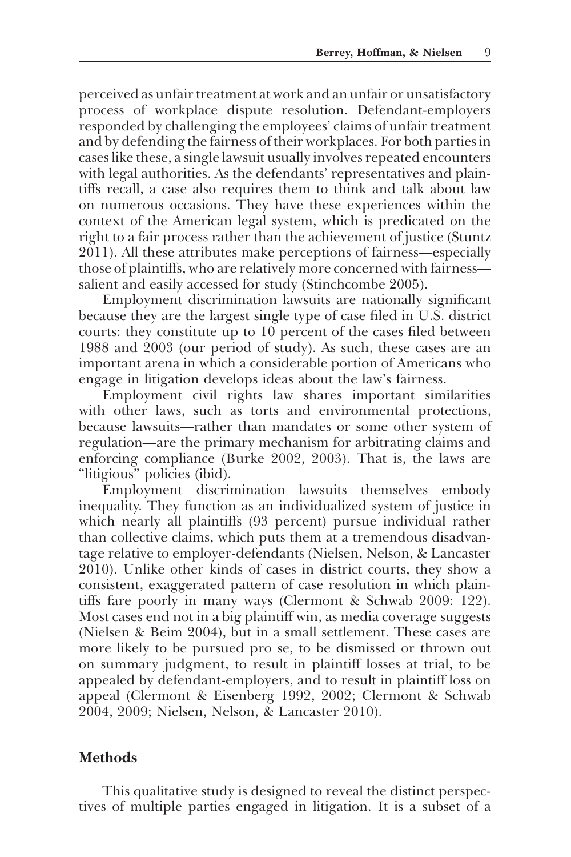perceived as unfair treatment at work and an unfair or unsatisfactory process of workplace dispute resolution. Defendant-employers responded by challenging the employees' claims of unfair treatment and by defending the fairness of their workplaces. For both parties in cases like these, a single lawsuit usually involves repeated encounters with legal authorities. As the defendants' representatives and plaintiffs recall, a case also requires them to think and talk about law on numerous occasions. They have these experiences within the context of the American legal system, which is predicated on the right to a fair process rather than the achievement of justice (Stuntz 2011). All these attributes make perceptions of fairness—especially those of plaintiffs, who are relatively more concerned with fairness salient and easily accessed for study (Stinchcombe 2005).

Employment discrimination lawsuits are nationally significant because they are the largest single type of case filed in U.S. district courts: they constitute up to 10 percent of the cases filed between 1988 and 2003 (our period of study). As such, these cases are an important arena in which a considerable portion of Americans who engage in litigation develops ideas about the law's fairness.

Employment civil rights law shares important similarities with other laws, such as torts and environmental protections, because lawsuits—rather than mandates or some other system of regulation—are the primary mechanism for arbitrating claims and enforcing compliance (Burke 2002, 2003). That is, the laws are "litigious" policies (ibid).

Employment discrimination lawsuits themselves embody inequality. They function as an individualized system of justice in which nearly all plaintiffs (93 percent) pursue individual rather than collective claims, which puts them at a tremendous disadvantage relative to employer-defendants (Nielsen, Nelson, & Lancaster 2010). Unlike other kinds of cases in district courts, they show a consistent, exaggerated pattern of case resolution in which plaintiffs fare poorly in many ways (Clermont & Schwab 2009: 122). Most cases end not in a big plaintiff win, as media coverage suggests (Nielsen & Beim 2004), but in a small settlement. These cases are more likely to be pursued pro se, to be dismissed or thrown out on summary judgment, to result in plaintiff losses at trial, to be appealed by defendant-employers, and to result in plaintiff loss on appeal (Clermont & Eisenberg 1992, 2002; Clermont & Schwab 2004, 2009; Nielsen, Nelson, & Lancaster 2010).

## **Methods**

This qualitative study is designed to reveal the distinct perspectives of multiple parties engaged in litigation. It is a subset of a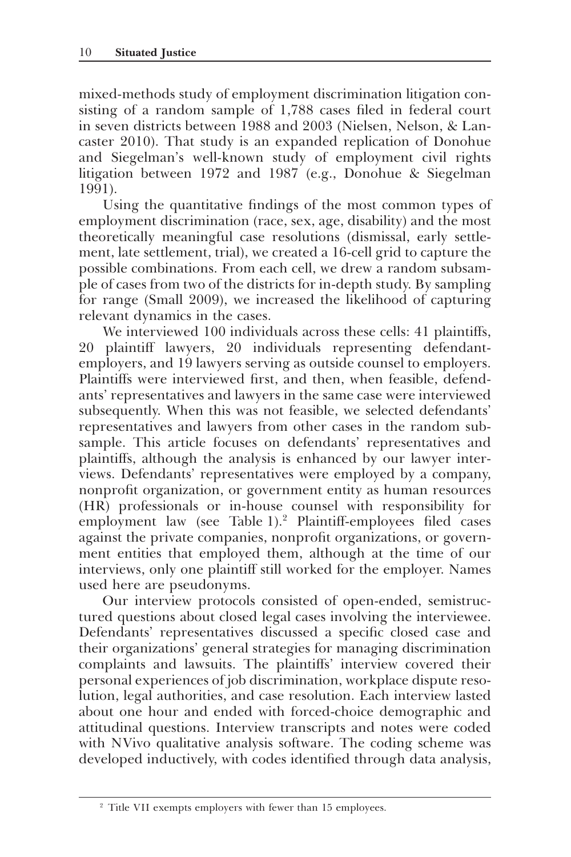mixed-methods study of employment discrimination litigation consisting of a random sample of 1,788 cases filed in federal court in seven districts between 1988 and 2003 (Nielsen, Nelson, & Lancaster 2010). That study is an expanded replication of Donohue and Siegelman's well-known study of employment civil rights litigation between 1972 and 1987 (e.g., Donohue & Siegelman 1991).

Using the quantitative findings of the most common types of employment discrimination (race, sex, age, disability) and the most theoretically meaningful case resolutions (dismissal, early settlement, late settlement, trial), we created a 16-cell grid to capture the possible combinations. From each cell, we drew a random subsample of cases from two of the districts for in-depth study. By sampling for range (Small 2009), we increased the likelihood of capturing relevant dynamics in the cases.

We interviewed 100 individuals across these cells: 41 plaintiffs, 20 plaintiff lawyers, 20 individuals representing defendantemployers, and 19 lawyers serving as outside counsel to employers. Plaintiffs were interviewed first, and then, when feasible, defendants' representatives and lawyers in the same case were interviewed subsequently. When this was not feasible, we selected defendants' representatives and lawyers from other cases in the random subsample. This article focuses on defendants' representatives and plaintiffs, although the analysis is enhanced by our lawyer interviews. Defendants' representatives were employed by a company, nonprofit organization, or government entity as human resources (HR) professionals or in-house counsel with responsibility for employment law (see Table 1).<sup>2</sup> Plaintiff-employees filed cases against the private companies, nonprofit organizations, or government entities that employed them, although at the time of our interviews, only one plaintiff still worked for the employer. Names used here are pseudonyms.

Our interview protocols consisted of open-ended, semistructured questions about closed legal cases involving the interviewee. Defendants' representatives discussed a specific closed case and their organizations' general strategies for managing discrimination complaints and lawsuits. The plaintiffs' interview covered their personal experiences of job discrimination, workplace dispute resolution, legal authorities, and case resolution. Each interview lasted about one hour and ended with forced-choice demographic and attitudinal questions. Interview transcripts and notes were coded with NVivo qualitative analysis software. The coding scheme was developed inductively, with codes identified through data analysis,

<sup>&</sup>lt;sup>2</sup> Title VII exempts employers with fewer than 15 employees.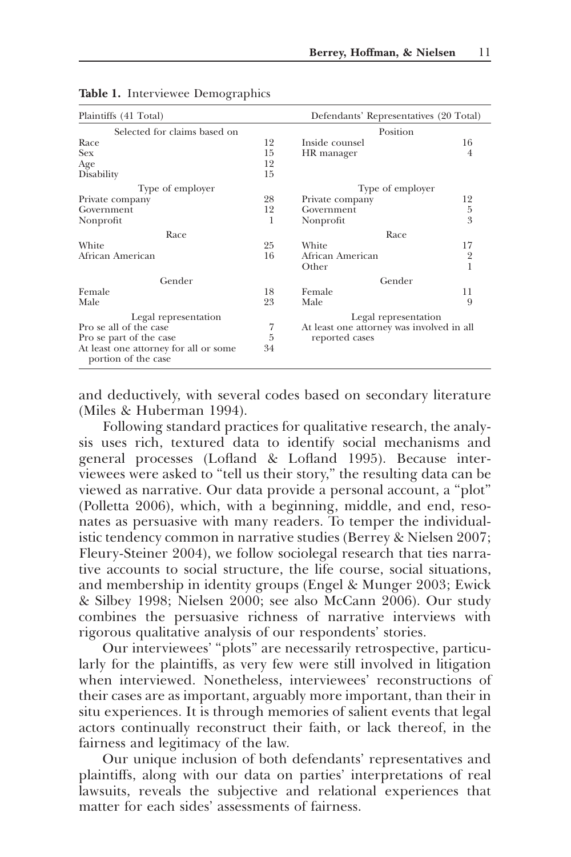| Plaintiffs (41 Total)                                        |    | Defendants' Representatives (20 Total)                      |                |
|--------------------------------------------------------------|----|-------------------------------------------------------------|----------------|
| Selected for claims based on                                 |    | Position                                                    |                |
| Race                                                         | 12 | Inside counsel                                              | 16             |
| <b>Sex</b>                                                   | 15 | HR manager                                                  | 4              |
| Age                                                          | 12 |                                                             |                |
| Disability                                                   | 15 |                                                             |                |
| Type of employer                                             |    | Type of employer                                            |                |
| Private company                                              | 28 | Private company                                             | 12             |
| Government                                                   | 12 | Government                                                  | $\overline{5}$ |
| Nonprofit                                                    | 1  | Nonprofit                                                   | 3              |
| Race                                                         |    | Race                                                        |                |
| White                                                        | 25 | White                                                       | 17             |
| African American                                             | 16 | African American                                            | $\overline{2}$ |
|                                                              |    | Other                                                       |                |
| Gender                                                       |    | Gender                                                      |                |
| Female                                                       | 18 | Female                                                      | 11             |
| Male                                                         | 23 | Male                                                        | 9              |
| Legal representation                                         |    | Legal representation                                        |                |
| Pro se all of the case                                       | 7  | At least one attorney was involved in all<br>reported cases |                |
| Pro se part of the case                                      | 5  |                                                             |                |
| At least one attorney for all or some<br>portion of the case | 34 |                                                             |                |

#### **Table 1.** Interviewee Demographics

and deductively, with several codes based on secondary literature (Miles & Huberman 1994).

Following standard practices for qualitative research, the analysis uses rich, textured data to identify social mechanisms and general processes (Lofland & Lofland 1995). Because interviewees were asked to "tell us their story," the resulting data can be viewed as narrative. Our data provide a personal account, a "plot" (Polletta 2006), which, with a beginning, middle, and end, resonates as persuasive with many readers. To temper the individualistic tendency common in narrative studies (Berrey & Nielsen 2007; Fleury-Steiner 2004), we follow sociolegal research that ties narrative accounts to social structure, the life course, social situations, and membership in identity groups (Engel & Munger 2003; Ewick & Silbey 1998; Nielsen 2000; see also McCann 2006). Our study combines the persuasive richness of narrative interviews with rigorous qualitative analysis of our respondents' stories.

Our interviewees' "plots" are necessarily retrospective, particularly for the plaintiffs, as very few were still involved in litigation when interviewed. Nonetheless, interviewees' reconstructions of their cases are as important, arguably more important, than their in situ experiences. It is through memories of salient events that legal actors continually reconstruct their faith, or lack thereof, in the fairness and legitimacy of the law.

Our unique inclusion of both defendants' representatives and plaintiffs, along with our data on parties' interpretations of real lawsuits, reveals the subjective and relational experiences that matter for each sides' assessments of fairness.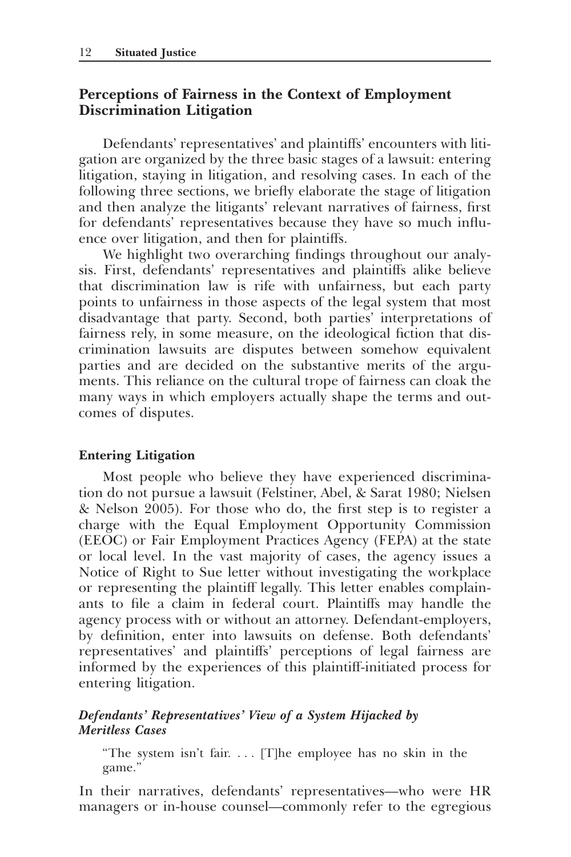# **Perceptions of Fairness in the Context of Employment Discrimination Litigation**

Defendants' representatives' and plaintiffs' encounters with litigation are organized by the three basic stages of a lawsuit: entering litigation, staying in litigation, and resolving cases. In each of the following three sections, we briefly elaborate the stage of litigation and then analyze the litigants' relevant narratives of fairness, first for defendants' representatives because they have so much influence over litigation, and then for plaintiffs.

We highlight two overarching findings throughout our analysis. First, defendants' representatives and plaintiffs alike believe that discrimination law is rife with unfairness, but each party points to unfairness in those aspects of the legal system that most disadvantage that party. Second, both parties' interpretations of fairness rely, in some measure, on the ideological fiction that discrimination lawsuits are disputes between somehow equivalent parties and are decided on the substantive merits of the arguments. This reliance on the cultural trope of fairness can cloak the many ways in which employers actually shape the terms and outcomes of disputes.

## **Entering Litigation**

Most people who believe they have experienced discrimination do not pursue a lawsuit (Felstiner, Abel, & Sarat 1980; Nielsen & Nelson 2005). For those who do, the first step is to register a charge with the Equal Employment Opportunity Commission (EEOC) or Fair Employment Practices Agency (FEPA) at the state or local level. In the vast majority of cases, the agency issues a Notice of Right to Sue letter without investigating the workplace or representing the plaintiff legally. This letter enables complainants to file a claim in federal court. Plaintiffs may handle the agency process with or without an attorney. Defendant-employers, by definition, enter into lawsuits on defense. Both defendants' representatives' and plaintiffs' perceptions of legal fairness are informed by the experiences of this plaintiff-initiated process for entering litigation.

## *Defendants' Representatives' View of a System Hijacked by Meritless Cases*

"The system isn't fair. . . . [T]he employee has no skin in the game."

In their narratives, defendants' representatives—who were HR managers or in-house counsel—commonly refer to the egregious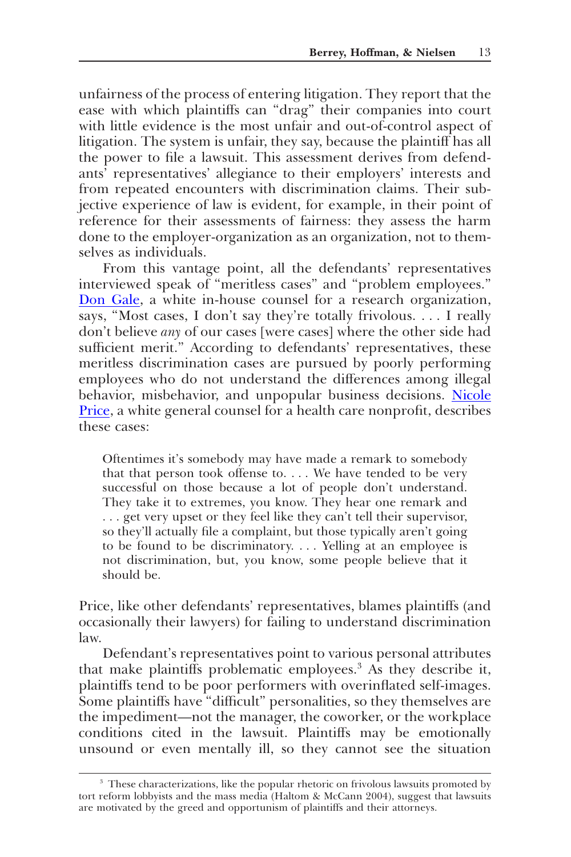unfairness of the process of entering litigation. They report that the ease with which plaintiffs can "drag" their companies into court with little evidence is the most unfair and out-of-control aspect of litigation. The system is unfair, they say, because the plaintiff has all the power to file a lawsuit. This assessment derives from defendants' representatives' allegiance to their employers' interests and from repeated encounters with discrimination claims. Their subjective experience of law is evident, for example, in their point of reference for their assessments of fairness: they assess the harm done to the employer-organization as an organization, not to themselves as individuals.

From this vantage point, all the defendants' representatives interviewed speak of "meritless cases" and "problem employees." [Don Gale,](http://www.americanbarfoundation.org/media/Quote2DonGale.mp3) a white in-house counsel for a research organization, says, "Most cases, I don't say they're totally frivolous. . . . I really don't believe *any* of our cases [were cases] where the other side had sufficient merit." According to defendants' representatives, these meritless discrimination cases are pursued by poorly performing employees who do not understand the differences among illegal behavior, misbehavior, and unpopular business decisions. [Nicole](http://www.americanbarfoundation.org/media/Quote3NicolePrice.mp3) [Price,](http://www.americanbarfoundation.org/media/Quote3NicolePrice.mp3) a white general counsel for a health care nonprofit, describes these cases:

Oftentimes it's somebody may have made a remark to somebody that that person took offense to. . . . We have tended to be very successful on those because a lot of people don't understand. They take it to extremes, you know. They hear one remark and . . . get very upset or they feel like they can't tell their supervisor, so they'll actually file a complaint, but those typically aren't going to be found to be discriminatory. . . . Yelling at an employee is not discrimination, but, you know, some people believe that it should be.

Price, like other defendants' representatives, blames plaintiffs (and occasionally their lawyers) for failing to understand discrimination law.

Defendant's representatives point to various personal attributes that make plaintiffs problematic employees.<sup>3</sup> As they describe it, plaintiffs tend to be poor performers with overinflated self-images. Some plaintiffs have "difficult" personalities, so they themselves are the impediment—not the manager, the coworker, or the workplace conditions cited in the lawsuit. Plaintiffs may be emotionally unsound or even mentally ill, so they cannot see the situation

<sup>&</sup>lt;sup>3</sup> These characterizations, like the popular rhetoric on frivolous lawsuits promoted by tort reform lobbyists and the mass media (Haltom & McCann 2004), suggest that lawsuits are motivated by the greed and opportunism of plaintiffs and their attorneys.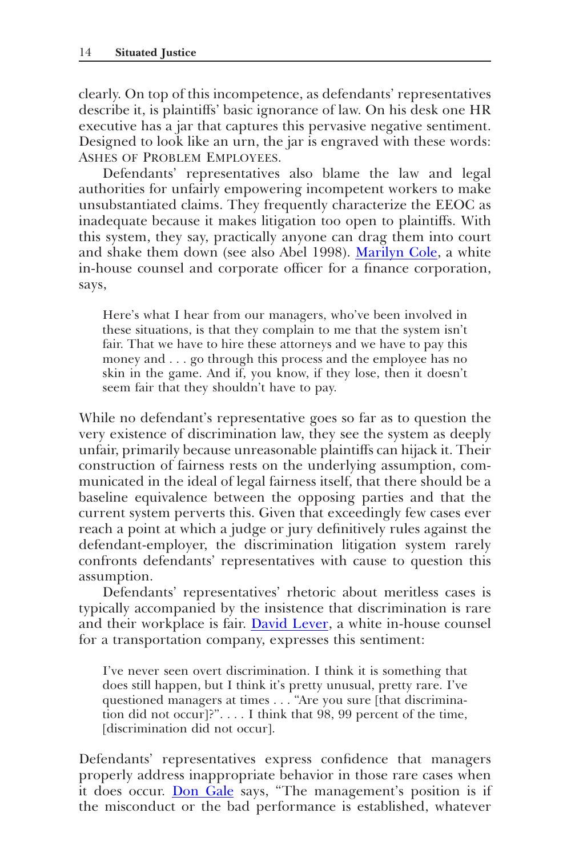clearly. On top of this incompetence, as defendants' representatives describe it, is plaintiffs' basic ignorance of law. On his desk one HR executive has a jar that captures this pervasive negative sentiment. Designed to look like an urn, the jar is engraved with these words: ASHES OF PROBLEM EMPLOYEES.

Defendants' representatives also blame the law and legal authorities for unfairly empowering incompetent workers to make unsubstantiated claims. They frequently characterize the EEOC as inadequate because it makes litigation too open to plaintiffs. With this system, they say, practically anyone can drag them into court and shake them down (see also Abel 1998). [Marilyn Cole,](http://www.americanbarfoundation.org/media/Quote4MarilynCole.mp3) a white in-house counsel and corporate officer for a finance corporation, says,

Here's what I hear from our managers, who've been involved in these situations, is that they complain to me that the system isn't fair. That we have to hire these attorneys and we have to pay this money and . . . go through this process and the employee has no skin in the game. And if, you know, if they lose, then it doesn't seem fair that they shouldn't have to pay.

While no defendant's representative goes so far as to question the very existence of discrimination law, they see the system as deeply unfair, primarily because unreasonable plaintiffs can hijack it. Their construction of fairness rests on the underlying assumption, communicated in the ideal of legal fairness itself, that there should be a baseline equivalence between the opposing parties and that the current system perverts this. Given that exceedingly few cases ever reach a point at which a judge or jury definitively rules against the defendant-employer, the discrimination litigation system rarely confronts defendants' representatives with cause to question this assumption.

Defendants' representatives' rhetoric about meritless cases is typically accompanied by the insistence that discrimination is rare and their workplace is fair. [David Lever,](http://www.americanbarfoundation.org/media/Quote5DavidLever-B.mp3) a white in-house counsel for a transportation company, expresses this sentiment:

I've never seen overt discrimination. I think it is something that does still happen, but I think it's pretty unusual, pretty rare. I've questioned managers at times . . . "Are you sure [that discrimination did not occur]?". . . . I think that 98, 99 percent of the time, [discrimination did not occur].

Defendants' representatives express confidence that managers properly address inappropriate behavior in those rare cases when it does occur. [Don Gale](http://www.americanbarfoundation.org/media/Quote6DonGale-B.mp3) says, "The management's position is if the misconduct or the bad performance is established, whatever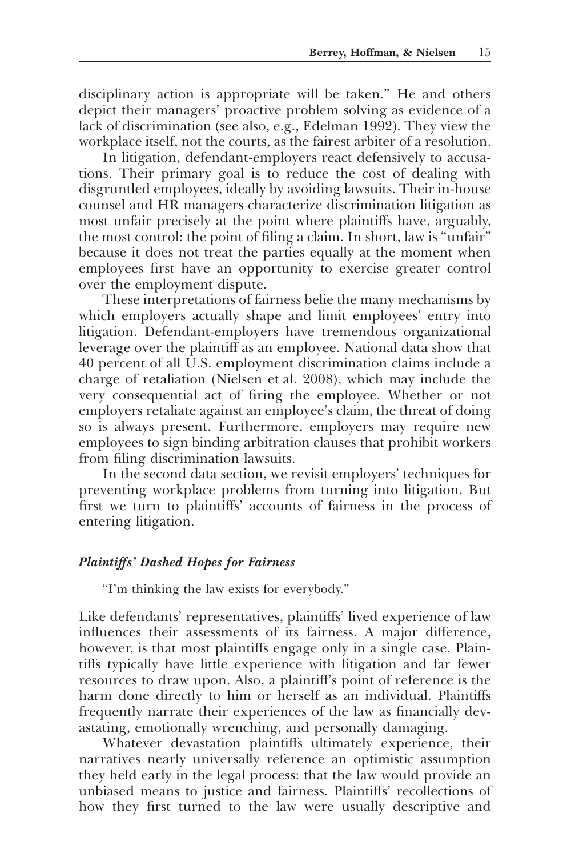disciplinary action is appropriate will be taken." He and others depict their managers' proactive problem solving as evidence of a lack of discrimination (see also, e.g., Edelman 1992). They view the workplace itself, not the courts, as the fairest arbiter of a resolution.

In litigation, defendant-employers react defensively to accusations. Their primary goal is to reduce the cost of dealing with disgruntled employees, ideally by avoiding lawsuits. Their in-house counsel and HR managers characterize discrimination litigation as most unfair precisely at the point where plaintiffs have, arguably, the most control: the point of filing a claim. In short, law is "unfair" because it does not treat the parties equally at the moment when employees first have an opportunity to exercise greater control over the employment dispute.

These interpretations of fairness belie the many mechanisms by which employers actually shape and limit employees' entry into litigation. Defendant-employers have tremendous organizational leverage over the plaintiff as an employee. National data show that 40 percent of all U.S. employment discrimination claims include a charge of retaliation (Nielsen et al. 2008), which may include the very consequential act of firing the employee. Whether or not employers retaliate against an employee's claim, the threat of doing so is always present. Furthermore, employers may require new employees to sign binding arbitration clauses that prohibit workers from filing discrimination lawsuits.

In the second data section, we revisit employers' techniques for preventing workplace problems from turning into litigation. But first we turn to plaintiffs' accounts of fairness in the process of entering litigation.

## *Plaintiffs' Dashed Hopes for Fairness*

"I'm thinking the law exists for everybody."

Like defendants' representatives, plaintiffs' lived experience of law influences their assessments of its fairness. A major difference, however, is that most plaintiffs engage only in a single case. Plaintiffs typically have little experience with litigation and far fewer resources to draw upon. Also, a plaintiff's point of reference is the harm done directly to him or herself as an individual. Plaintiffs frequently narrate their experiences of the law as financially devastating, emotionally wrenching, and personally damaging.

Whatever devastation plaintiffs ultimately experience, their narratives nearly universally reference an optimistic assumption they held early in the legal process: that the law would provide an unbiased means to justice and fairness. Plaintiffs' recollections of how they first turned to the law were usually descriptive and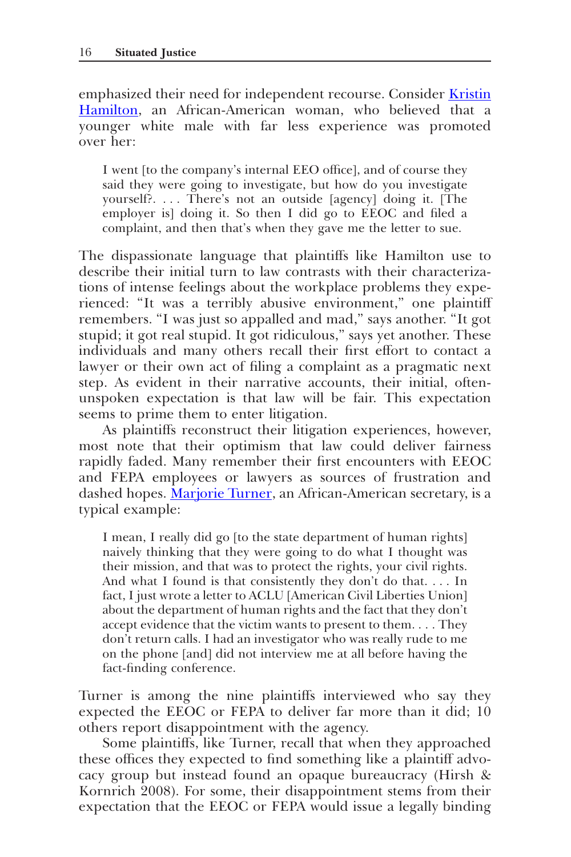emphasized their need for independent recourse. Consider [Kristin](http://www.americanbarfoundation.org/media/Quote7KirstenHamilton-B.mp3) [Hamilton,](http://www.americanbarfoundation.org/media/Quote7KirstenHamilton-B.mp3) an African-American woman, who believed that a younger white male with far less experience was promoted over her:

I went [to the company's internal EEO office], and of course they said they were going to investigate, but how do you investigate yourself?. . . . There's not an outside [agency] doing it. [The employer is] doing it. So then I did go to EEOC and filed a complaint, and then that's when they gave me the letter to sue.

The dispassionate language that plaintiffs like Hamilton use to describe their initial turn to law contrasts with their characterizations of intense feelings about the workplace problems they experienced: "It was a terribly abusive environment," one plaintiff remembers. "I was just so appalled and mad," says another. "It got stupid; it got real stupid. It got ridiculous," says yet another. These individuals and many others recall their first effort to contact a lawyer or their own act of filing a complaint as a pragmatic next step. As evident in their narrative accounts, their initial, oftenunspoken expectation is that law will be fair. This expectation seems to prime them to enter litigation.

As plaintiffs reconstruct their litigation experiences, however, most note that their optimism that law could deliver fairness rapidly faded. Many remember their first encounters with EEOC and FEPA employees or lawyers as sources of frustration and dashed hopes. [Marjorie Turner,](http://www.americanbarfoundation.org/media/Quote8MarjorieTurner-B.mp3) an African-American secretary, is a typical example:

I mean, I really did go [to the state department of human rights] naively thinking that they were going to do what I thought was their mission, and that was to protect the rights, your civil rights. And what I found is that consistently they don't do that. . . . In fact, I just wrote a letter to ACLU [American Civil Liberties Union] about the department of human rights and the fact that they don't accept evidence that the victim wants to present to them. . . . They don't return calls. I had an investigator who was really rude to me on the phone [and] did not interview me at all before having the fact-finding conference.

Turner is among the nine plaintiffs interviewed who say they expected the EEOC or FEPA to deliver far more than it did; 10 others report disappointment with the agency.

Some plaintiffs, like Turner, recall that when they approached these offices they expected to find something like a plaintiff advocacy group but instead found an opaque bureaucracy (Hirsh & Kornrich 2008). For some, their disappointment stems from their expectation that the EEOC or FEPA would issue a legally binding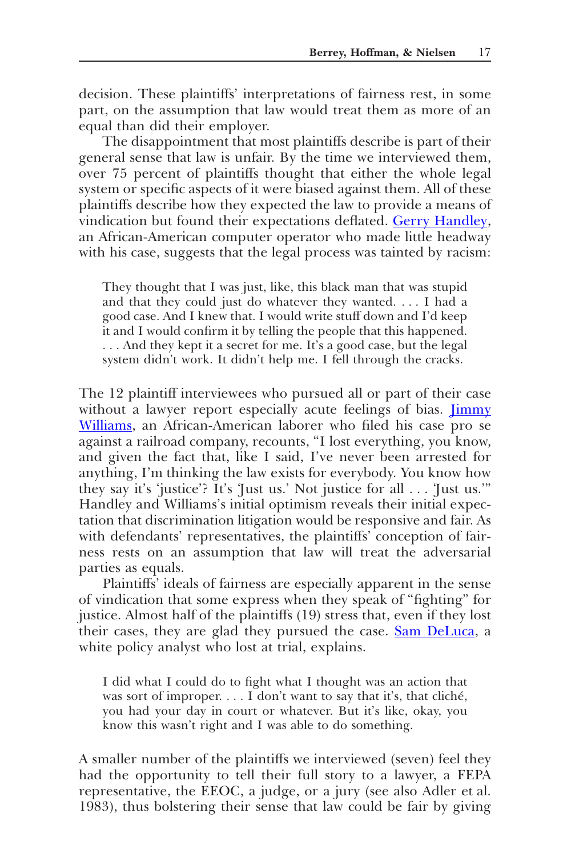decision. These plaintiffs' interpretations of fairness rest, in some part, on the assumption that law would treat them as more of an equal than did their employer.

The disappointment that most plaintiffs describe is part of their general sense that law is unfair. By the time we interviewed them, over 75 percent of plaintiffs thought that either the whole legal system or specific aspects of it were biased against them. All of these plaintiffs describe how they expected the law to provide a means of vindication but found their expectations deflated. [Gerry Handley,](http://www.americanbarfoundation.org/media/Quote9GerryHandley.mp3) an African-American computer operator who made little headway with his case, suggests that the legal process was tainted by racism:

They thought that I was just, like, this black man that was stupid and that they could just do whatever they wanted. . . . I had a good case. And I knew that. I would write stuff down and I'd keep it and I would confirm it by telling the people that this happened. . . . And they kept it a secret for me. It's a good case, but the legal system didn't work. It didn't help me. I fell through the cracks.

The 12 plaintiff interviewees who pursued all or part of their case without a lawyer report especially acute feelings of bias. **[Jimmy](http://www.americanbarfoundation.org/media/Quote10JimmyWilliams.mp3)** [Williams,](http://www.americanbarfoundation.org/media/Quote10JimmyWilliams.mp3) an African-American laborer who filed his case pro se against a railroad company, recounts, "I lost everything, you know, and given the fact that, like I said, I've never been arrested for anything, I'm thinking the law exists for everybody. You know how they say it's 'justice'? It's 'Just us.' Not justice for all . . . 'Just us.'" Handley and Williams's initial optimism reveals their initial expectation that discrimination litigation would be responsive and fair. As with defendants' representatives, the plaintiffs' conception of fairness rests on an assumption that law will treat the adversarial parties as equals.

Plaintiffs' ideals of fairness are especially apparent in the sense of vindication that some express when they speak of "fighting" for justice. Almost half of the plaintiffs (19) stress that, even if they lost their cases, they are glad they pursued the case. [Sam DeLuca,](http://www.americanbarfoundation.org/media/Quote11SamDeluca.mp3) a white policy analyst who lost at trial, explains.

I did what I could do to fight what I thought was an action that was sort of improper. . . . I don't want to say that it's, that cliché, you had your day in court or whatever. But it's like, okay, you know this wasn't right and I was able to do something.

A smaller number of the plaintiffs we interviewed (seven) feel they had the opportunity to tell their full story to a lawyer, a FEPA representative, the EEOC, a judge, or a jury (see also Adler et al. 1983), thus bolstering their sense that law could be fair by giving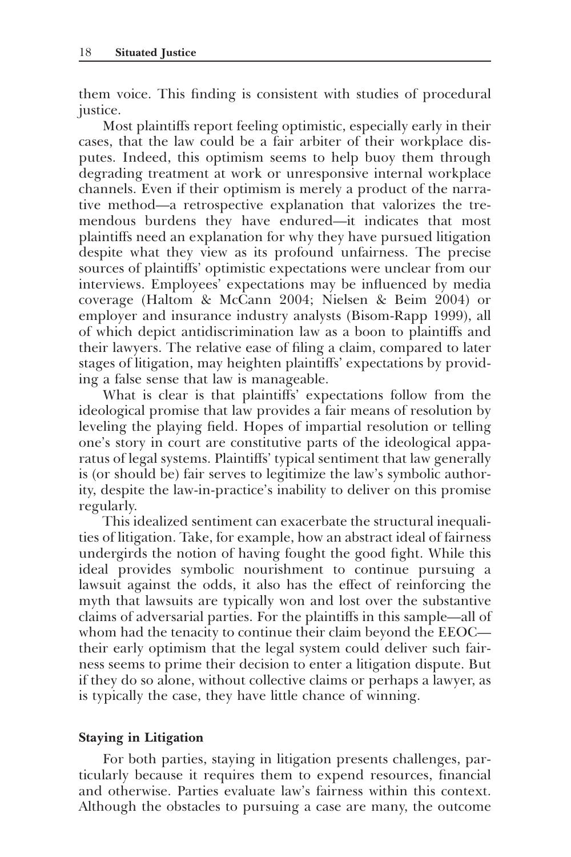them voice. This finding is consistent with studies of procedural justice.

Most plaintiffs report feeling optimistic, especially early in their cases, that the law could be a fair arbiter of their workplace disputes. Indeed, this optimism seems to help buoy them through degrading treatment at work or unresponsive internal workplace channels. Even if their optimism is merely a product of the narrative method—a retrospective explanation that valorizes the tremendous burdens they have endured—it indicates that most plaintiffs need an explanation for why they have pursued litigation despite what they view as its profound unfairness. The precise sources of plaintiffs' optimistic expectations were unclear from our interviews. Employees' expectations may be influenced by media coverage (Haltom & McCann 2004; Nielsen & Beim 2004) or employer and insurance industry analysts (Bisom-Rapp 1999), all of which depict antidiscrimination law as a boon to plaintiffs and their lawyers. The relative ease of filing a claim, compared to later stages of litigation, may heighten plaintiffs' expectations by providing a false sense that law is manageable.

What is clear is that plaintiffs' expectations follow from the ideological promise that law provides a fair means of resolution by leveling the playing field. Hopes of impartial resolution or telling one's story in court are constitutive parts of the ideological apparatus of legal systems. Plaintiffs' typical sentiment that law generally is (or should be) fair serves to legitimize the law's symbolic authority, despite the law-in-practice's inability to deliver on this promise regularly.

This idealized sentiment can exacerbate the structural inequalities of litigation. Take, for example, how an abstract ideal of fairness undergirds the notion of having fought the good fight. While this ideal provides symbolic nourishment to continue pursuing a lawsuit against the odds, it also has the effect of reinforcing the myth that lawsuits are typically won and lost over the substantive claims of adversarial parties. For the plaintiffs in this sample—all of whom had the tenacity to continue their claim beyond the EEOC their early optimism that the legal system could deliver such fairness seems to prime their decision to enter a litigation dispute. But if they do so alone, without collective claims or perhaps a lawyer, as is typically the case, they have little chance of winning.

## **Staying in Litigation**

For both parties, staying in litigation presents challenges, particularly because it requires them to expend resources, financial and otherwise. Parties evaluate law's fairness within this context. Although the obstacles to pursuing a case are many, the outcome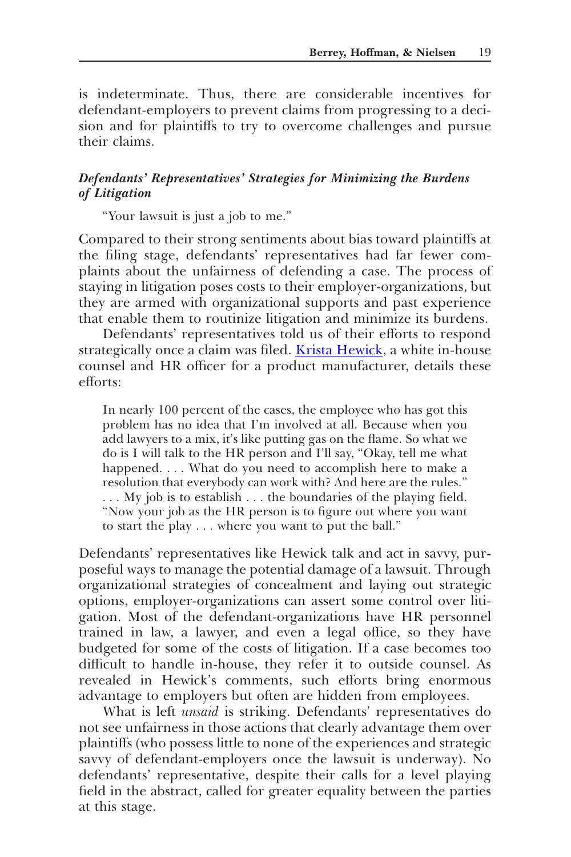is indeterminate. Thus, there are considerable incentives for defendant-employers to prevent claims from progressing to a decision and for plaintiffs to try to overcome challenges and pursue their claims.

## *Defendants' Representatives' Strategies for Minimizing the Burdens of Litigation*

"Your lawsuit is just a job to me."

Compared to their strong sentiments about bias toward plaintiffs at the filing stage, defendants' representatives had far fewer complaints about the unfairness of defending a case. The process of staying in litigation poses costs to their employer-organizations, but they are armed with organizational supports and past experience that enable them to routinize litigation and minimize its burdens.

Defendants' representatives told us of their efforts to respond strategically once a claim was filed. [Krista Hewick,](http://www.americanbarfoundation.org/media/Quote12KristaHewick.mp3) a white in-house counsel and HR officer for a product manufacturer, details these efforts:

In nearly 100 percent of the cases, the employee who has got this problem has no idea that I'm involved at all. Because when you add lawyers to a mix, it's like putting gas on the flame. So what we do is I will talk to the HR person and I'll say, "Okay, tell me what happened. . . . What do you need to accomplish here to make a resolution that everybody can work with? And here are the rules." . . . My job is to establish . . . the boundaries of the playing field. "Now your job as the HR person is to figure out where you want to start the play . . . where you want to put the ball."

Defendants' representatives like Hewick talk and act in savvy, purposeful ways to manage the potential damage of a lawsuit. Through organizational strategies of concealment and laying out strategic options, employer-organizations can assert some control over litigation. Most of the defendant-organizations have HR personnel trained in law, a lawyer, and even a legal office, so they have budgeted for some of the costs of litigation. If a case becomes too difficult to handle in-house, they refer it to outside counsel. As revealed in Hewick's comments, such efforts bring enormous advantage to employers but often are hidden from employees.

What is left *unsaid* is striking. Defendants' representatives do not see unfairness in those actions that clearly advantage them over plaintiffs (who possess little to none of the experiences and strategic savvy of defendant-employers once the lawsuit is underway). No defendants' representative, despite their calls for a level playing field in the abstract, called for greater equality between the parties at this stage.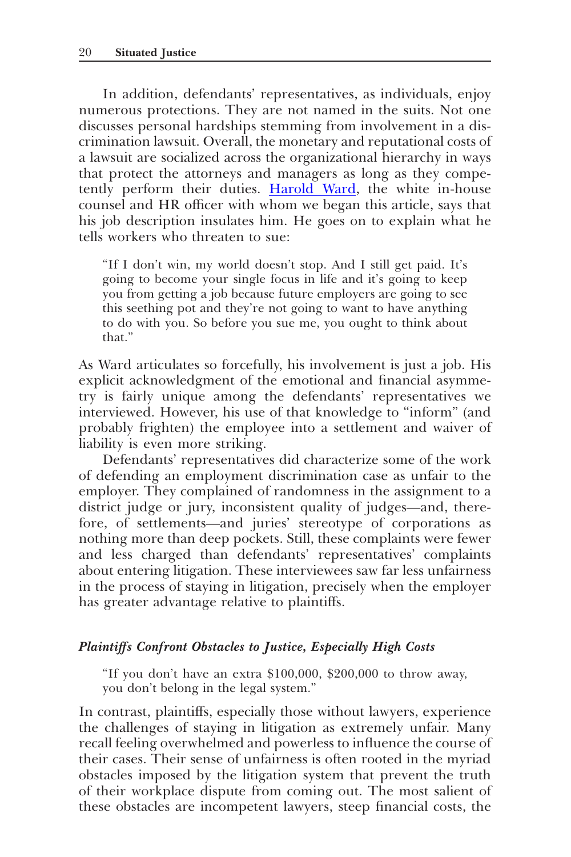In addition, defendants' representatives, as individuals, enjoy numerous protections. They are not named in the suits. Not one discusses personal hardships stemming from involvement in a discrimination lawsuit. Overall, the monetary and reputational costs of a lawsuit are socialized across the organizational hierarchy in ways that protect the attorneys and managers as long as they compe-tently perform their duties. [Harold Ward,](http://www.americanbarfoundation.org/media/Quote13HaroldWard-Copy.mp3) the white in-house counsel and HR officer with whom we began this article, says that his job description insulates him. He goes on to explain what he tells workers who threaten to sue:

"If I don't win, my world doesn't stop. And I still get paid. It's going to become your single focus in life and it's going to keep you from getting a job because future employers are going to see this seething pot and they're not going to want to have anything to do with you. So before you sue me, you ought to think about that."

As Ward articulates so forcefully, his involvement is just a job. His explicit acknowledgment of the emotional and financial asymmetry is fairly unique among the defendants' representatives we interviewed. However, his use of that knowledge to "inform" (and probably frighten) the employee into a settlement and waiver of liability is even more striking.

Defendants' representatives did characterize some of the work of defending an employment discrimination case as unfair to the employer. They complained of randomness in the assignment to a district judge or jury, inconsistent quality of judges—and, therefore, of settlements—and juries' stereotype of corporations as nothing more than deep pockets. Still, these complaints were fewer and less charged than defendants' representatives' complaints about entering litigation. These interviewees saw far less unfairness in the process of staying in litigation, precisely when the employer has greater advantage relative to plaintiffs.

## *Plaintiffs Confront Obstacles to Justice, Especially High Costs*

"If you don't have an extra \$100,000, \$200,000 to throw away, you don't belong in the legal system."

In contrast, plaintiffs, especially those without lawyers, experience the challenges of staying in litigation as extremely unfair. Many recall feeling overwhelmed and powerless to influence the course of their cases. Their sense of unfairness is often rooted in the myriad obstacles imposed by the litigation system that prevent the truth of their workplace dispute from coming out. The most salient of these obstacles are incompetent lawyers, steep financial costs, the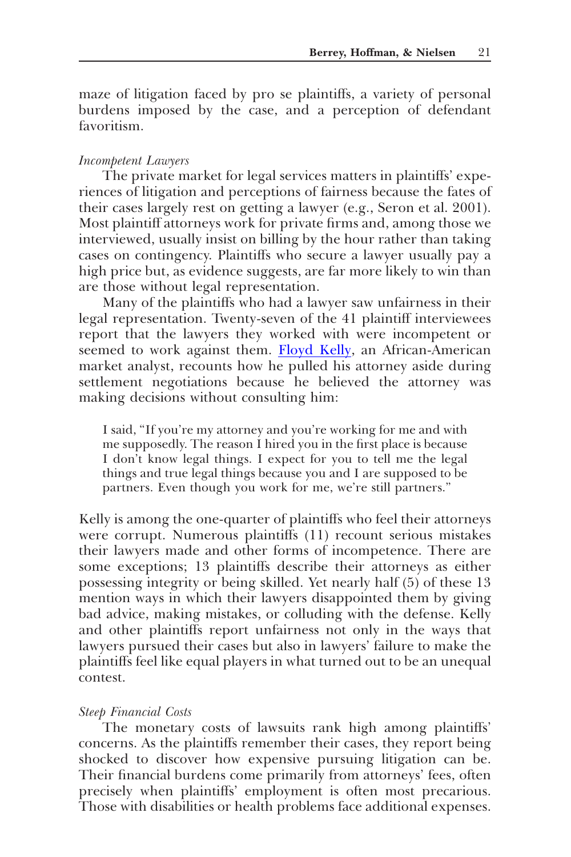maze of litigation faced by pro se plaintiffs, a variety of personal burdens imposed by the case, and a perception of defendant favoritism.

#### *Incompetent Lawyers*

The private market for legal services matters in plaintiffs' experiences of litigation and perceptions of fairness because the fates of their cases largely rest on getting a lawyer (e.g., Seron et al. 2001). Most plaintiff attorneys work for private firms and, among those we interviewed, usually insist on billing by the hour rather than taking cases on contingency. Plaintiffs who secure a lawyer usually pay a high price but, as evidence suggests, are far more likely to win than are those without legal representation.

Many of the plaintiffs who had a lawyer saw unfairness in their legal representation. Twenty-seven of the 41 plaintiff interviewees report that the lawyers they worked with were incompetent or seemed to work against them. [Floyd Kelly,](http://www.americanbarfoundation.org/media/Quote14FloydKelly.mp3) an African-American market analyst, recounts how he pulled his attorney aside during settlement negotiations because he believed the attorney was making decisions without consulting him:

I said, "If you're my attorney and you're working for me and with me supposedly. The reason I hired you in the first place is because I don't know legal things. I expect for you to tell me the legal things and true legal things because you and I are supposed to be partners. Even though you work for me, we're still partners."

Kelly is among the one-quarter of plaintiffs who feel their attorneys were corrupt. Numerous plaintiffs (11) recount serious mistakes their lawyers made and other forms of incompetence. There are some exceptions; 13 plaintiffs describe their attorneys as either possessing integrity or being skilled. Yet nearly half (5) of these 13 mention ways in which their lawyers disappointed them by giving bad advice, making mistakes, or colluding with the defense. Kelly and other plaintiffs report unfairness not only in the ways that lawyers pursued their cases but also in lawyers' failure to make the plaintiffs feel like equal players in what turned out to be an unequal contest.

#### *Steep Financial Costs*

The monetary costs of lawsuits rank high among plaintiffs' concerns. As the plaintiffs remember their cases, they report being shocked to discover how expensive pursuing litigation can be. Their financial burdens come primarily from attorneys' fees, often precisely when plaintiffs' employment is often most precarious. Those with disabilities or health problems face additional expenses.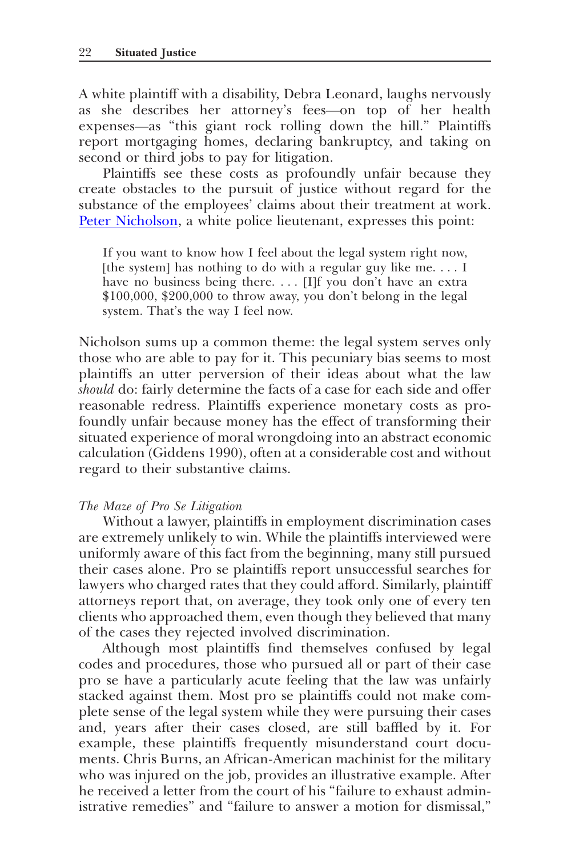A white plaintiff with a disability, Debra Leonard, laughs nervously as she describes her attorney's fees—on top of her health expenses—as "this giant rock rolling down the hill." Plaintiffs report mortgaging homes, declaring bankruptcy, and taking on second or third jobs to pay for litigation.

Plaintiffs see these costs as profoundly unfair because they create obstacles to the pursuit of justice without regard for the substance of the employees' claims about their treatment at work. [Peter Nicholson,](http://www.americanbarfoundation.org/media/Quote15PeterNicholson.mp3) a white police lieutenant, expresses this point:

If you want to know how I feel about the legal system right now, [the system] has nothing to do with a regular guy like me.... I have no business being there. . . . [I]f you don't have an extra \$100,000, \$200,000 to throw away, you don't belong in the legal system. That's the way I feel now.

Nicholson sums up a common theme: the legal system serves only those who are able to pay for it. This pecuniary bias seems to most plaintiffs an utter perversion of their ideas about what the law *should* do: fairly determine the facts of a case for each side and offer reasonable redress. Plaintiffs experience monetary costs as profoundly unfair because money has the effect of transforming their situated experience of moral wrongdoing into an abstract economic calculation (Giddens 1990), often at a considerable cost and without regard to their substantive claims.

#### *The Maze of Pro Se Litigation*

Without a lawyer, plaintiffs in employment discrimination cases are extremely unlikely to win. While the plaintiffs interviewed were uniformly aware of this fact from the beginning, many still pursued their cases alone. Pro se plaintiffs report unsuccessful searches for lawyers who charged rates that they could afford. Similarly, plaintiff attorneys report that, on average, they took only one of every ten clients who approached them, even though they believed that many of the cases they rejected involved discrimination.

Although most plaintiffs find themselves confused by legal codes and procedures, those who pursued all or part of their case pro se have a particularly acute feeling that the law was unfairly stacked against them. Most pro se plaintiffs could not make complete sense of the legal system while they were pursuing their cases and, years after their cases closed, are still baffled by it. For example, these plaintiffs frequently misunderstand court documents. Chris Burns, an African-American machinist for the military who was injured on the job, provides an illustrative example. After he received a letter from the court of his "failure to exhaust administrative remedies" and "failure to answer a motion for dismissal,"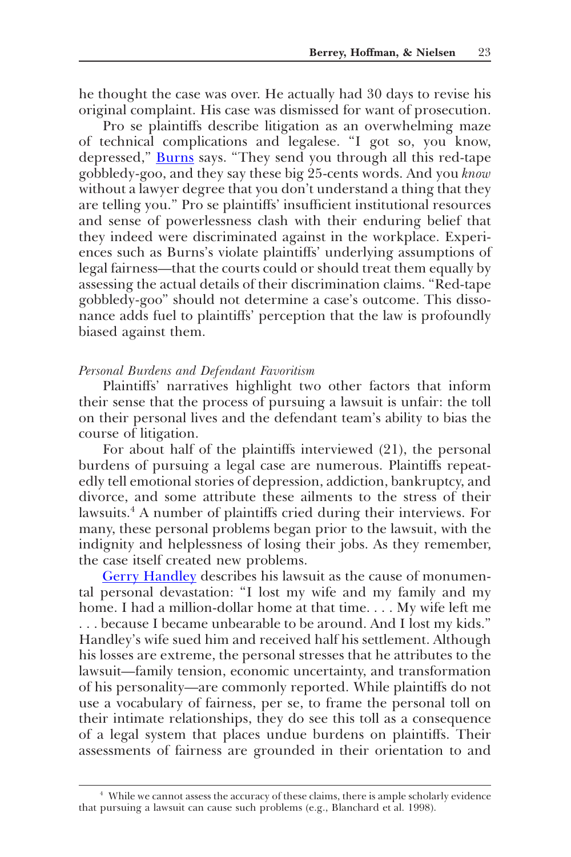he thought the case was over. He actually had 30 days to revise his original complaint. His case was dismissed for want of prosecution.

Pro se plaintiffs describe litigation as an overwhelming maze of technical complications and legalese. "I got so, you know, depressed," **[Burns](http://www.americanbarfoundation.org/media/Quote16MrsBurns.mp3)** says. "They send you through all this red-tape gobbledy-goo, and they say these big 25-cents words. And you *know* without a lawyer degree that you don't understand a thing that they are telling you." Pro se plaintiffs' insufficient institutional resources and sense of powerlessness clash with their enduring belief that they indeed were discriminated against in the workplace. Experiences such as Burns's violate plaintiffs' underlying assumptions of legal fairness—that the courts could or should treat them equally by assessing the actual details of their discrimination claims. "Red-tape gobbledy-goo" should not determine a case's outcome. This dissonance adds fuel to plaintiffs' perception that the law is profoundly biased against them.

## *Personal Burdens and Defendant Favoritism*

Plaintiffs' narratives highlight two other factors that inform their sense that the process of pursuing a lawsuit is unfair: the toll on their personal lives and the defendant team's ability to bias the course of litigation.

For about half of the plaintiffs interviewed (21), the personal burdens of pursuing a legal case are numerous. Plaintiffs repeatedly tell emotional stories of depression, addiction, bankruptcy, and divorce, and some attribute these ailments to the stress of their lawsuits.4 A number of plaintiffs cried during their interviews. For many, these personal problems began prior to the lawsuit, with the indignity and helplessness of losing their jobs. As they remember, the case itself created new problems.

[Gerry Handley](http://www.americanbarfoundation.org/media/Quote17GerryHandley.mp3) describes his lawsuit as the cause of monumental personal devastation: "I lost my wife and my family and my home. I had a million-dollar home at that time. . . . My wife left me . . . because I became unbearable to be around. And I lost my kids." Handley's wife sued him and received half his settlement. Although his losses are extreme, the personal stresses that he attributes to the lawsuit—family tension, economic uncertainty, and transformation of his personality—are commonly reported. While plaintiffs do not use a vocabulary of fairness, per se, to frame the personal toll on their intimate relationships, they do see this toll as a consequence of a legal system that places undue burdens on plaintiffs. Their assessments of fairness are grounded in their orientation to and

<sup>4</sup> While we cannot assess the accuracy of these claims, there is ample scholarly evidence that pursuing a lawsuit can cause such problems (e.g., Blanchard et al. 1998).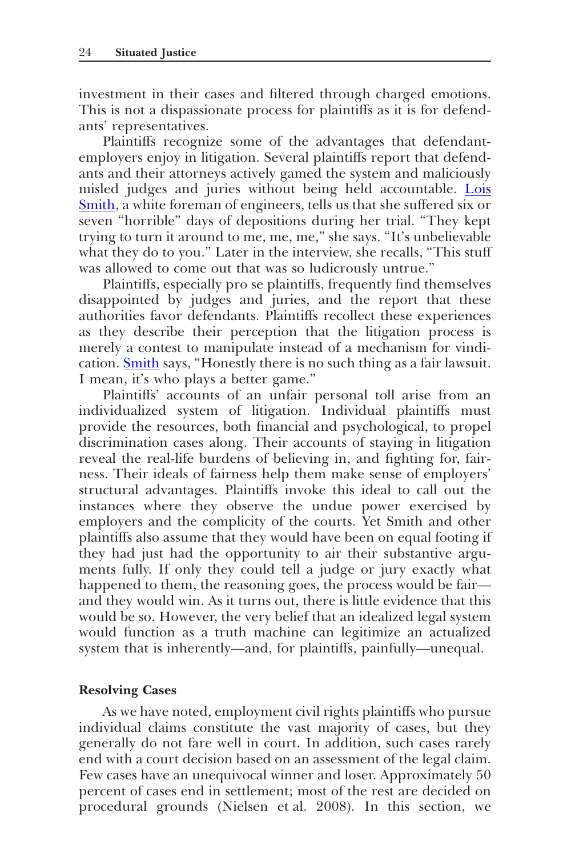investment in their cases and filtered through charged emotions. This is not a dispassionate process for plaintiffs as it is for defendants' representatives.

Plaintiffs recognize some of the advantages that defendantemployers enjoy in litigation. Several plaintiffs report that defendants and their attorneys actively gamed the system and maliciously misled judges and juries without being held accountable. [Lois](http://www.americanbarfoundation.org/media/Quote18LoisSmith.mp3) [Smith,](http://www.americanbarfoundation.org/media/Quote18LoisSmith.mp3) a white foreman of engineers, tells us that she suffered six or seven "horrible" days of depositions during her trial. "They kept trying to turn it around to me, me, me," she says. "It's unbelievable what they do to you." Later in the interview, she recalls, "This stuff was allowed to come out that was so ludicrously untrue."

Plaintiffs, especially pro se plaintiffs, frequently find themselves disappointed by judges and juries, and the report that these authorities favor defendants. Plaintiffs recollect these experiences as they describe their perception that the litigation process is merely a contest to manipulate instead of a mechanism for vindication. [Smith](http://www.americanbarfoundation.org/media/Quote19LoisSmith.mp3) says, "Honestly there is no such thing as a fair lawsuit. I mean, it's who plays a better game."

Plaintiffs' accounts of an unfair personal toll arise from an individualized system of litigation. Individual plaintiffs must provide the resources, both financial and psychological, to propel discrimination cases along. Their accounts of staying in litigation reveal the real-life burdens of believing in, and fighting for, fairness. Their ideals of fairness help them make sense of employers' structural advantages. Plaintiffs invoke this ideal to call out the instances where they observe the undue power exercised by employers and the complicity of the courts. Yet Smith and other plaintiffs also assume that they would have been on equal footing if they had just had the opportunity to air their substantive arguments fully. If only they could tell a judge or jury exactly what happened to them, the reasoning goes, the process would be fair and they would win. As it turns out, there is little evidence that this would be so. However, the very belief that an idealized legal system would function as a truth machine can legitimize an actualized system that is inherently—and, for plaintiffs, painfully—unequal.

## **Resolving Cases**

As we have noted, employment civil rights plaintiffs who pursue individual claims constitute the vast majority of cases, but they generally do not fare well in court. In addition, such cases rarely end with a court decision based on an assessment of the legal claim. Few cases have an unequivocal winner and loser. Approximately 50 percent of cases end in settlement; most of the rest are decided on procedural grounds (Nielsen et al. 2008). In this section, we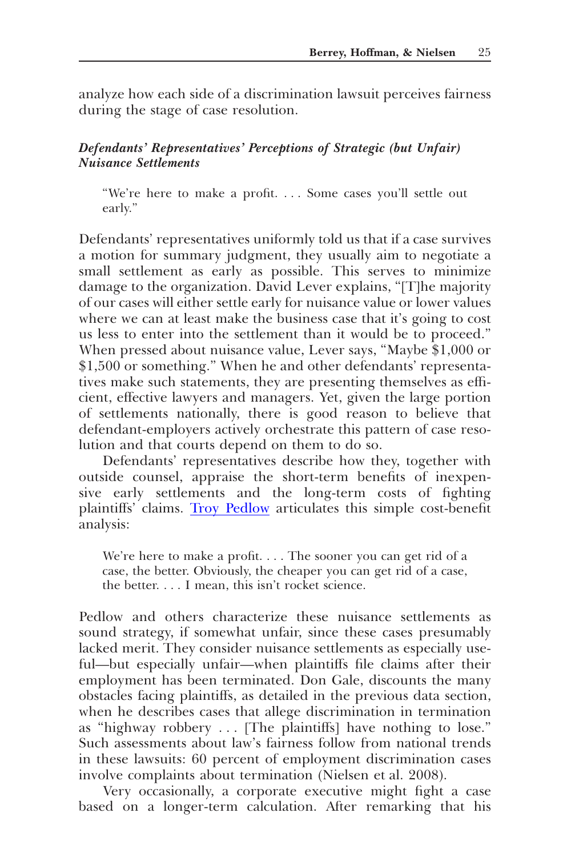analyze how each side of a discrimination lawsuit perceives fairness during the stage of case resolution.

# *Defendants' Representatives' Perceptions of Strategic (but Unfair) Nuisance Settlements*

"We're here to make a profit. . . . Some cases you'll settle out early."

Defendants' representatives uniformly told us that if a case survives a motion for summary judgment, they usually aim to negotiate a small settlement as early as possible. This serves to minimize damage to the organization. David Lever explains, "[T]he majority of our cases will either settle early for nuisance value or lower values where we can at least make the business case that it's going to cost us less to enter into the settlement than it would be to proceed." When pressed about nuisance value, Lever says, "Maybe \$1,000 or \$1,500 or something." When he and other defendants' representatives make such statements, they are presenting themselves as efficient, effective lawyers and managers. Yet, given the large portion of settlements nationally, there is good reason to believe that defendant-employers actively orchestrate this pattern of case resolution and that courts depend on them to do so.

Defendants' representatives describe how they, together with outside counsel, appraise the short-term benefits of inexpensive early settlements and the long-term costs of fighting plaintiffs' claims. [Troy Pedlow](http://www.americanbarfoundation.org/media/Quote20TroyPedlow.mp3) articulates this simple cost-benefit analysis:

We're here to make a profit. . . . The sooner you can get rid of a case, the better. Obviously, the cheaper you can get rid of a case, the better. . . . I mean, this isn't rocket science.

Pedlow and others characterize these nuisance settlements as sound strategy, if somewhat unfair, since these cases presumably lacked merit. They consider nuisance settlements as especially useful—but especially unfair—when plaintiffs file claims after their employment has been terminated. Don Gale, discounts the many obstacles facing plaintiffs, as detailed in the previous data section, when he describes cases that allege discrimination in termination as "highway robbery . . . [The plaintiffs] have nothing to lose." Such assessments about law's fairness follow from national trends in these lawsuits: 60 percent of employment discrimination cases involve complaints about termination (Nielsen et al. 2008).

Very occasionally, a corporate executive might fight a case based on a longer-term calculation. After remarking that his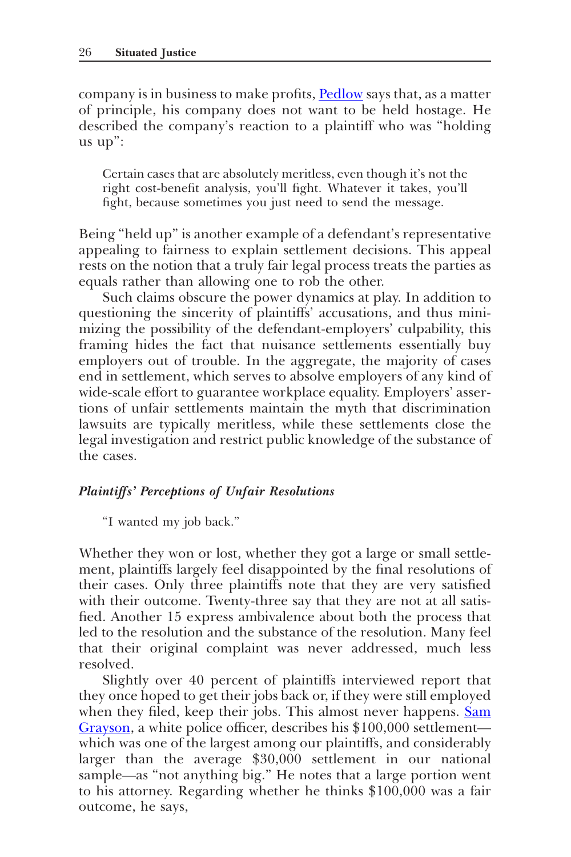company is in business to make profits, **[Pedlow](http://www.americanbarfoundation.org/media/Quote20TroyPedlow.mp3)** says that, as a matter of principle, his company does not want to be held hostage. He described the company's reaction to a plaintiff who was "holding us up":

Certain cases that are absolutely meritless, even though it's not the right cost-benefit analysis, you'll fight. Whatever it takes, you'll fight, because sometimes you just need to send the message.

Being "held up" is another example of a defendant's representative appealing to fairness to explain settlement decisions. This appeal rests on the notion that a truly fair legal process treats the parties as equals rather than allowing one to rob the other.

Such claims obscure the power dynamics at play. In addition to questioning the sincerity of plaintiffs' accusations, and thus minimizing the possibility of the defendant-employers' culpability, this framing hides the fact that nuisance settlements essentially buy employers out of trouble. In the aggregate, the majority of cases end in settlement, which serves to absolve employers of any kind of wide-scale effort to guarantee workplace equality. Employers' assertions of unfair settlements maintain the myth that discrimination lawsuits are typically meritless, while these settlements close the legal investigation and restrict public knowledge of the substance of the cases.

#### *Plaintiffs' Perceptions of Unfair Resolutions*

"I wanted my job back."

Whether they won or lost, whether they got a large or small settlement, plaintiffs largely feel disappointed by the final resolutions of their cases. Only three plaintiffs note that they are very satisfied with their outcome. Twenty-three say that they are not at all satisfied. Another 15 express ambivalence about both the process that led to the resolution and the substance of the resolution. Many feel that their original complaint was never addressed, much less resolved.

Slightly over 40 percent of plaintiffs interviewed report that they once hoped to get their jobs back or, if they were still employed when they filed, keep their jobs. This almost never happens. [Sam](http://www.americanbarfoundation.org/media/Quote23SamGrayson.mp3) [Grayson,](http://www.americanbarfoundation.org/media/Quote23SamGrayson.mp3) a white police officer, describes his \$100,000 settlement which was one of the largest among our plaintiffs, and considerably larger than the average \$30,000 settlement in our national sample—as "not anything big." He notes that a large portion went to his attorney. Regarding whether he thinks \$100,000 was a fair outcome, he says,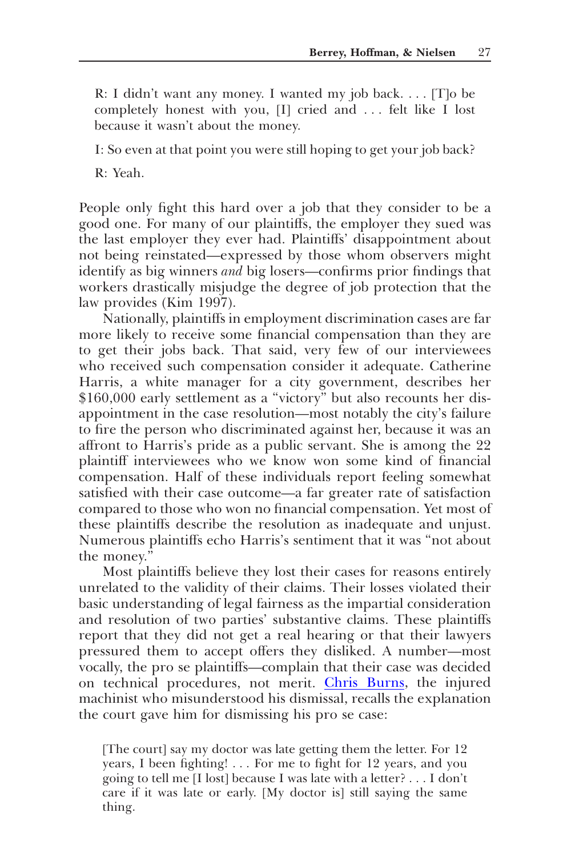R: I didn't want any money. I wanted my job back. . . . [T]o be completely honest with you, [I] cried and . . . felt like I lost because it wasn't about the money.

I: So even at that point you were still hoping to get your job back?

R: Yeah.

People only fight this hard over a job that they consider to be a good one. For many of our plaintiffs, the employer they sued was the last employer they ever had. Plaintiffs' disappointment about not being reinstated—expressed by those whom observers might identify as big winners *and* big losers—confirms prior findings that workers drastically misjudge the degree of job protection that the law provides (Kim 1997).

Nationally, plaintiffs in employment discrimination cases are far more likely to receive some financial compensation than they are to get their jobs back. That said, very few of our interviewees who received such compensation consider it adequate. Catherine Harris, a white manager for a city government, describes her \$160,000 early settlement as a "victory" but also recounts her disappointment in the case resolution—most notably the city's failure to fire the person who discriminated against her, because it was an affront to Harris's pride as a public servant. She is among the 22 plaintiff interviewees who we know won some kind of financial compensation. Half of these individuals report feeling somewhat satisfied with their case outcome—a far greater rate of satisfaction compared to those who won no financial compensation. Yet most of these plaintiffs describe the resolution as inadequate and unjust. Numerous plaintiffs echo Harris's sentiment that it was "not about the money."

Most plaintiffs believe they lost their cases for reasons entirely unrelated to the validity of their claims. Their losses violated their basic understanding of legal fairness as the impartial consideration and resolution of two parties' substantive claims. These plaintiffs report that they did not get a real hearing or that their lawyers pressured them to accept offers they disliked. A number—most vocally, the pro se plaintiffs—complain that their case was decided on technical procedures, not merit. [Chris Burns,](http://www.americanbarfoundation.org/media/Quote24ChrisBurns.mp3) the injured machinist who misunderstood his dismissal, recalls the explanation the court gave him for dismissing his pro se case:

[The court] say my doctor was late getting them the letter. For 12 years, I been fighting! . . . For me to fight for 12 years, and you going to tell me [I lost] because I was late with a letter? . . . I don't care if it was late or early. [My doctor is] still saying the same thing.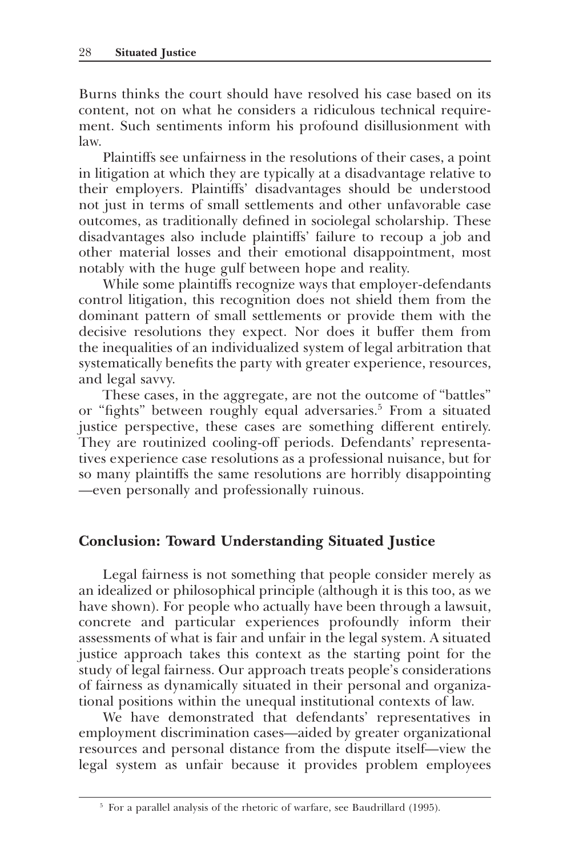Burns thinks the court should have resolved his case based on its content, not on what he considers a ridiculous technical requirement. Such sentiments inform his profound disillusionment with law.

Plaintiffs see unfairness in the resolutions of their cases, a point in litigation at which they are typically at a disadvantage relative to their employers. Plaintiffs' disadvantages should be understood not just in terms of small settlements and other unfavorable case outcomes, as traditionally defined in sociolegal scholarship. These disadvantages also include plaintiffs' failure to recoup a job and other material losses and their emotional disappointment, most notably with the huge gulf between hope and reality.

While some plaintiffs recognize ways that employer-defendants control litigation, this recognition does not shield them from the dominant pattern of small settlements or provide them with the decisive resolutions they expect. Nor does it buffer them from the inequalities of an individualized system of legal arbitration that systematically benefits the party with greater experience, resources, and legal savvy.

These cases, in the aggregate, are not the outcome of "battles" or "fights" between roughly equal adversaries.<sup>5</sup> From a situated justice perspective, these cases are something different entirely. They are routinized cooling-off periods. Defendants' representatives experience case resolutions as a professional nuisance, but for so many plaintiffs the same resolutions are horribly disappointing —even personally and professionally ruinous.

# **Conclusion: Toward Understanding Situated Justice**

Legal fairness is not something that people consider merely as an idealized or philosophical principle (although it is this too, as we have shown). For people who actually have been through a lawsuit, concrete and particular experiences profoundly inform their assessments of what is fair and unfair in the legal system. A situated justice approach takes this context as the starting point for the study of legal fairness. Our approach treats people's considerations of fairness as dynamically situated in their personal and organizational positions within the unequal institutional contexts of law.

We have demonstrated that defendants' representatives in employment discrimination cases—aided by greater organizational resources and personal distance from the dispute itself—view the legal system as unfair because it provides problem employees

<sup>&</sup>lt;sup>5</sup> For a parallel analysis of the rhetoric of warfare, see Baudrillard (1995).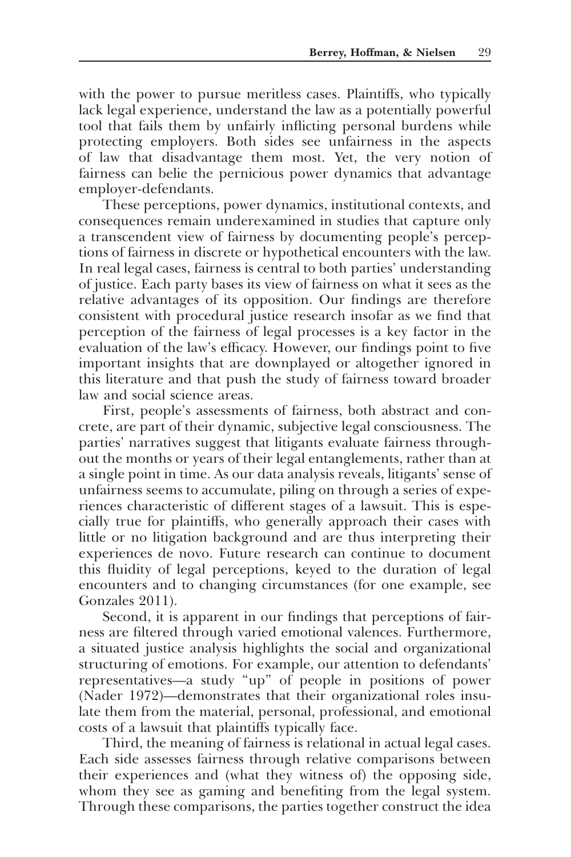with the power to pursue meritless cases. Plaintiffs, who typically lack legal experience, understand the law as a potentially powerful tool that fails them by unfairly inflicting personal burdens while protecting employers. Both sides see unfairness in the aspects of law that disadvantage them most. Yet, the very notion of fairness can belie the pernicious power dynamics that advantage employer-defendants.

These perceptions, power dynamics, institutional contexts, and consequences remain underexamined in studies that capture only a transcendent view of fairness by documenting people's perceptions of fairness in discrete or hypothetical encounters with the law. In real legal cases, fairness is central to both parties' understanding of justice. Each party bases its view of fairness on what it sees as the relative advantages of its opposition. Our findings are therefore consistent with procedural justice research insofar as we find that perception of the fairness of legal processes is a key factor in the evaluation of the law's efficacy. However, our findings point to five important insights that are downplayed or altogether ignored in this literature and that push the study of fairness toward broader law and social science areas.

First, people's assessments of fairness, both abstract and concrete, are part of their dynamic, subjective legal consciousness. The parties' narratives suggest that litigants evaluate fairness throughout the months or years of their legal entanglements, rather than at a single point in time. As our data analysis reveals, litigants' sense of unfairness seems to accumulate, piling on through a series of experiences characteristic of different stages of a lawsuit. This is especially true for plaintiffs, who generally approach their cases with little or no litigation background and are thus interpreting their experiences de novo. Future research can continue to document this fluidity of legal perceptions, keyed to the duration of legal encounters and to changing circumstances (for one example, see Gonzales 2011).

Second, it is apparent in our findings that perceptions of fairness are filtered through varied emotional valences. Furthermore, a situated justice analysis highlights the social and organizational structuring of emotions. For example, our attention to defendants' representatives—a study "up" of people in positions of power (Nader 1972)—demonstrates that their organizational roles insulate them from the material, personal, professional, and emotional costs of a lawsuit that plaintiffs typically face.

Third, the meaning of fairness is relational in actual legal cases. Each side assesses fairness through relative comparisons between their experiences and (what they witness of) the opposing side, whom they see as gaming and benefiting from the legal system. Through these comparisons, the parties together construct the idea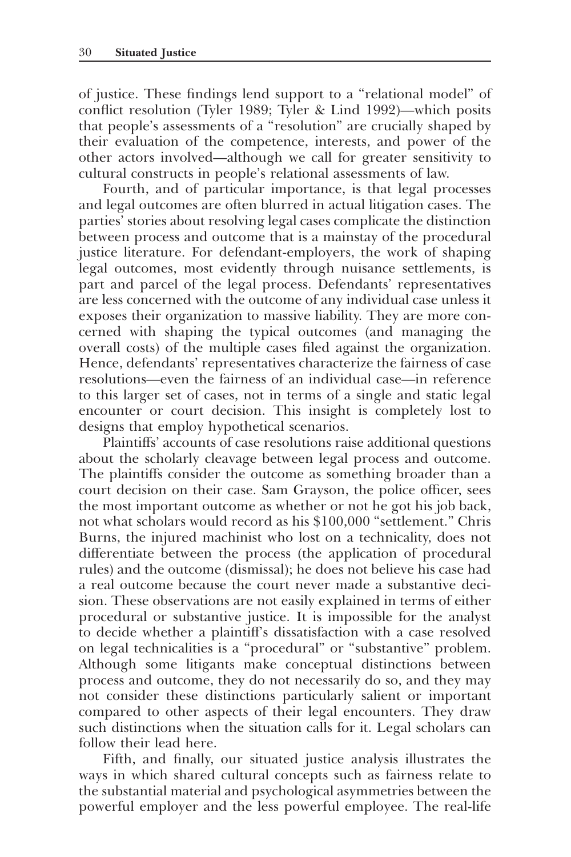of justice. These findings lend support to a "relational model" of conflict resolution (Tyler 1989; Tyler & Lind 1992)—which posits that people's assessments of a "resolution" are crucially shaped by their evaluation of the competence, interests, and power of the other actors involved—although we call for greater sensitivity to cultural constructs in people's relational assessments of law.

Fourth, and of particular importance, is that legal processes and legal outcomes are often blurred in actual litigation cases. The parties' stories about resolving legal cases complicate the distinction between process and outcome that is a mainstay of the procedural justice literature. For defendant-employers, the work of shaping legal outcomes, most evidently through nuisance settlements, is part and parcel of the legal process. Defendants' representatives are less concerned with the outcome of any individual case unless it exposes their organization to massive liability. They are more concerned with shaping the typical outcomes (and managing the overall costs) of the multiple cases filed against the organization. Hence, defendants' representatives characterize the fairness of case resolutions—even the fairness of an individual case—in reference to this larger set of cases, not in terms of a single and static legal encounter or court decision. This insight is completely lost to designs that employ hypothetical scenarios.

Plaintiffs' accounts of case resolutions raise additional questions about the scholarly cleavage between legal process and outcome. The plaintiffs consider the outcome as something broader than a court decision on their case. Sam Grayson, the police officer, sees the most important outcome as whether or not he got his job back, not what scholars would record as his \$100,000 "settlement." Chris Burns, the injured machinist who lost on a technicality, does not differentiate between the process (the application of procedural rules) and the outcome (dismissal); he does not believe his case had a real outcome because the court never made a substantive decision. These observations are not easily explained in terms of either procedural or substantive justice. It is impossible for the analyst to decide whether a plaintiff's dissatisfaction with a case resolved on legal technicalities is a "procedural" or "substantive" problem. Although some litigants make conceptual distinctions between process and outcome, they do not necessarily do so, and they may not consider these distinctions particularly salient or important compared to other aspects of their legal encounters. They draw such distinctions when the situation calls for it. Legal scholars can follow their lead here.

Fifth, and finally, our situated justice analysis illustrates the ways in which shared cultural concepts such as fairness relate to the substantial material and psychological asymmetries between the powerful employer and the less powerful employee. The real-life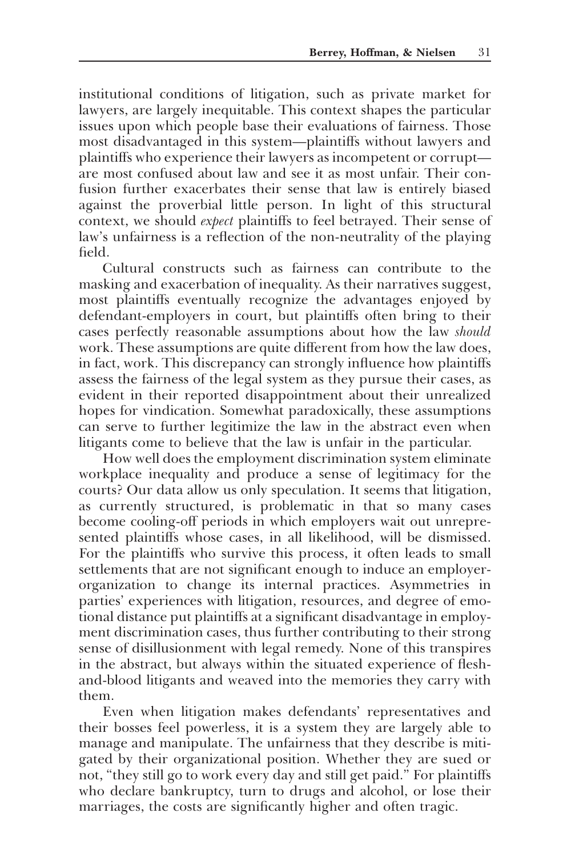institutional conditions of litigation, such as private market for lawyers, are largely inequitable. This context shapes the particular issues upon which people base their evaluations of fairness. Those most disadvantaged in this system—plaintiffs without lawyers and plaintiffs who experience their lawyers as incompetent or corrupt are most confused about law and see it as most unfair. Their confusion further exacerbates their sense that law is entirely biased against the proverbial little person. In light of this structural context, we should *expect* plaintiffs to feel betrayed. Their sense of law's unfairness is a reflection of the non-neutrality of the playing field.

Cultural constructs such as fairness can contribute to the masking and exacerbation of inequality. As their narratives suggest, most plaintiffs eventually recognize the advantages enjoyed by defendant-employers in court, but plaintiffs often bring to their cases perfectly reasonable assumptions about how the law *should* work. These assumptions are quite different from how the law does, in fact, work. This discrepancy can strongly influence how plaintiffs assess the fairness of the legal system as they pursue their cases, as evident in their reported disappointment about their unrealized hopes for vindication. Somewhat paradoxically, these assumptions can serve to further legitimize the law in the abstract even when litigants come to believe that the law is unfair in the particular.

How well does the employment discrimination system eliminate workplace inequality and produce a sense of legitimacy for the courts? Our data allow us only speculation. It seems that litigation, as currently structured, is problematic in that so many cases become cooling-off periods in which employers wait out unrepresented plaintiffs whose cases, in all likelihood, will be dismissed. For the plaintiffs who survive this process, it often leads to small settlements that are not significant enough to induce an employerorganization to change its internal practices. Asymmetries in parties' experiences with litigation, resources, and degree of emotional distance put plaintiffs at a significant disadvantage in employment discrimination cases, thus further contributing to their strong sense of disillusionment with legal remedy. None of this transpires in the abstract, but always within the situated experience of fleshand-blood litigants and weaved into the memories they carry with them.

Even when litigation makes defendants' representatives and their bosses feel powerless, it is a system they are largely able to manage and manipulate. The unfairness that they describe is mitigated by their organizational position. Whether they are sued or not, "they still go to work every day and still get paid." For plaintiffs who declare bankruptcy, turn to drugs and alcohol, or lose their marriages, the costs are significantly higher and often tragic.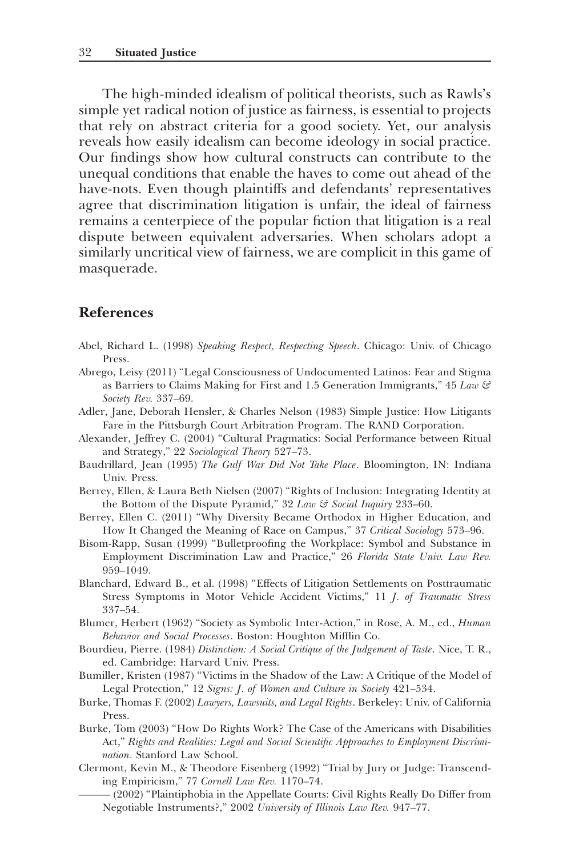The high-minded idealism of political theorists, such as Rawls's simple yet radical notion of justice as fairness, is essential to projects that rely on abstract criteria for a good society. Yet, our analysis reveals how easily idealism can become ideology in social practice. Our findings show how cultural constructs can contribute to the unequal conditions that enable the haves to come out ahead of the have-nots. Even though plaintiffs and defendants' representatives agree that discrimination litigation is unfair, the ideal of fairness remains a centerpiece of the popular fiction that litigation is a real dispute between equivalent adversaries. When scholars adopt a similarly uncritical view of fairness, we are complicit in this game of masquerade.

## **References**

- Abel, Richard L. (1998) *Speaking Respect, Respecting Speech*. Chicago: Univ. of Chicago Press.
- Abrego, Leisy (2011) "Legal Consciousness of Undocumented Latinos: Fear and Stigma as Barriers to Claims Making for First and 1.5 Generation Immigrants," 45 *Law & Society Rev.* 337–69.
- Adler, Jane, Deborah Hensler, & Charles Nelson (1983) Simple Justice: How Litigants Fare in the Pittsburgh Court Arbitration Program. The RAND Corporation.
- Alexander, Jeffrey C. (2004) "Cultural Pragmatics: Social Performance between Ritual and Strategy," 22 *Sociological Theory* 527–73.
- Baudrillard, Jean (1995) *The Gulf War Did Not Take Place*. Bloomington, IN: Indiana Univ. Press.
- Berrey, Ellen, & Laura Beth Nielsen (2007) "Rights of Inclusion: Integrating Identity at the Bottom of the Dispute Pyramid," 32 *Law & Social Inquiry* 233–60.
- Berrey, Ellen C. (2011) "Why Diversity Became Orthodox in Higher Education, and How It Changed the Meaning of Race on Campus," 37 *Critical Sociology* 573–96.
- Bisom-Rapp, Susan (1999) "Bulletproofing the Workplace: Symbol and Substance in Employment Discrimination Law and Practice," 26 *Florida State Univ. Law Rev.* 959–1049.
- Blanchard, Edward B., et al. (1998) "Effects of Litigation Settlements on Posttraumatic Stress Symptoms in Motor Vehicle Accident Victims," 11 *J. of Traumatic Stress* 337–54.
- Blumer, Herbert (1962) "Society as Symbolic Inter-Action," in Rose, A. M., ed., *Human Behavior and Social Processes*. Boston: Houghton Mifflin Co.
- Bourdieu, Pierre. (1984) *Distinction: A Social Critique of the Judgement of Taste*. Nice, T. R., ed. Cambridge: Harvard Univ. Press.
- Bumiller, Kristen (1987) "Victims in the Shadow of the Law: A Critique of the Model of Legal Protection," 12 *Signs: J. of Women and Culture in Society* 421–534.
- Burke, Thomas F. (2002) *Lawyers, Lawsuits, and Legal Rights*. Berkeley: Univ. of California Press.
- Burke, Tom (2003) "How Do Rights Work? The Case of the Americans with Disabilities Act," *Rights and Realities: Legal and Social Scientific Approaches to Employment Discrimination*. Stanford Law School.
- Clermont, Kevin M., & Theodore Eisenberg (1992) "Trial by Jury or Judge: Transcending Empiricism," 77 *Cornell Law Rev.* 1170–74.
	- (2002) "Plaintiphobia in the Appellate Courts: Civil Rights Really Do Differ from Negotiable Instruments?," 2002 *University of Illinois Law Rev.* 947–77.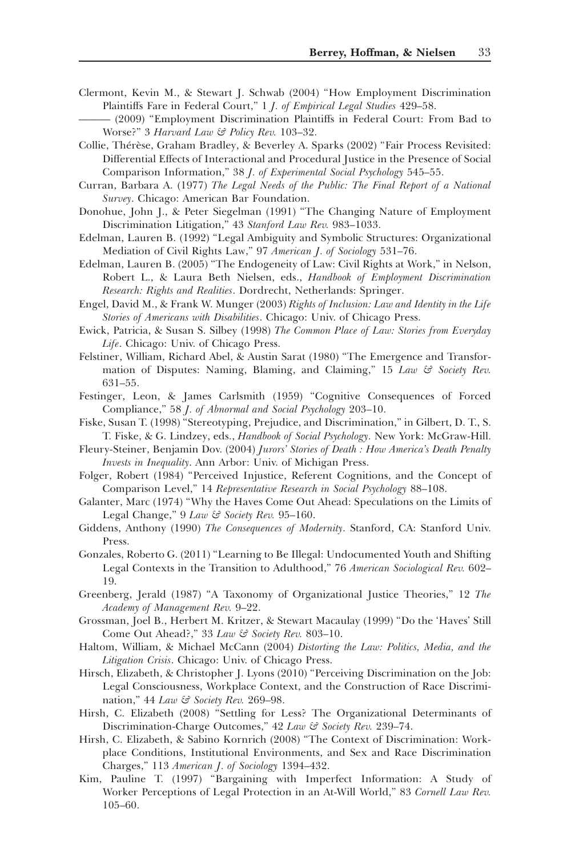- Clermont, Kevin M., & Stewart J. Schwab (2004) "How Employment Discrimination Plaintiffs Fare in Federal Court," 1 *J. of Empirical Legal Studies* 429–58.
	- ——— (2009) "Employment Discrimination Plaintiffs in Federal Court: From Bad to Worse?" 3 *Harvard Law & Policy Rev.* 103–32.
- Collie, Thérèse, Graham Bradley, & Beverley A. Sparks (2002) "Fair Process Revisited: Differential Effects of Interactional and Procedural Justice in the Presence of Social Comparison Information," 38 *J. of Experimental Social Psychology* 545–55.
- Curran, Barbara A. (1977) *The Legal Needs of the Public: The Final Report of a National Survey*. Chicago: American Bar Foundation.
- Donohue, John J., & Peter Siegelman (1991) "The Changing Nature of Employment Discrimination Litigation," 43 *Stanford Law Rev.* 983–1033.
- Edelman, Lauren B. (1992) "Legal Ambiguity and Symbolic Structures: Organizational Mediation of Civil Rights Law," 97 *American J. of Sociology* 531–76.
- Edelman, Lauren B. (2005) "The Endogeneity of Law: Civil Rights at Work," in Nelson, Robert L., & Laura Beth Nielsen, eds., *Handbook of Employment Discrimination Research: Rights and Realities*. Dordrecht, Netherlands: Springer.
- Engel, David M., & Frank W. Munger (2003) *Rights of Inclusion: Law and Identity in the Life Stories of Americans with Disabilities*. Chicago: Univ. of Chicago Press.
- Ewick, Patricia, & Susan S. Silbey (1998) *The Common Place of Law: Stories from Everyday Life*. Chicago: Univ. of Chicago Press.
- Felstiner, William, Richard Abel, & Austin Sarat (1980) "The Emergence and Transformation of Disputes: Naming, Blaming, and Claiming," 15 *Law & Society Rev.* 631–55.
- Festinger, Leon, & James Carlsmith (1959) "Cognitive Consequences of Forced Compliance," 58 *J. of Abnormal and Social Psychology* 203–10.
- Fiske, Susan T. (1998) "Stereotyping, Prejudice, and Discrimination," in Gilbert, D. T., S. T. Fiske, & G. Lindzey, eds., *Handbook of Social Psychology*. New York: McGraw-Hill.
- Fleury-Steiner, Benjamin Dov. (2004) *Jurors' Stories of Death : How America's Death Penalty Invests in Inequality*. Ann Arbor: Univ. of Michigan Press.
- Folger, Robert (1984) "Perceived Injustice, Referent Cognitions, and the Concept of Comparison Level," 14 *Representative Research in Social Psychology* 88–108.
- Galanter, Marc (1974) "Why the Haves Come Out Ahead: Speculations on the Limits of Legal Change," 9 *Law & Society Rev.* 95–160.
- Giddens, Anthony (1990) *The Consequences of Modernity*. Stanford, CA: Stanford Univ. Press.
- Gonzales, Roberto G. (2011) "Learning to Be Illegal: Undocumented Youth and Shifting Legal Contexts in the Transition to Adulthood," 76 *American Sociological Rev.* 602– 19.
- Greenberg, Jerald (1987) "A Taxonomy of Organizational Justice Theories," 12 *The Academy of Management Rev.* 9–22.
- Grossman, Joel B., Herbert M. Kritzer, & Stewart Macaulay (1999) "Do the 'Haves' Still Come Out Ahead?," 33 *Law & Society Rev.* 803–10.
- Haltom, William, & Michael McCann (2004) *Distorting the Law: Politics, Media, and the Litigation Crisis*. Chicago: Univ. of Chicago Press.
- Hirsch, Elizabeth, & Christopher J. Lyons (2010) "Perceiving Discrimination on the Job: Legal Consciousness, Workplace Context, and the Construction of Race Discrimination," 44 *Law & Society Rev.* 269–98.
- Hirsh, C. Elizabeth (2008) "Settling for Less? The Organizational Determinants of Discrimination-Charge Outcomes," 42 *Law & Society Rev.* 239–74.
- Hirsh, C. Elizabeth, & Sabino Kornrich (2008) "The Context of Discrimination: Workplace Conditions, Institutional Environments, and Sex and Race Discrimination Charges," 113 *American J. of Sociology* 1394–432.
- Kim, Pauline T. (1997) "Bargaining with Imperfect Information: A Study of Worker Perceptions of Legal Protection in an At-Will World," 83 *Cornell Law Rev.* 105–60.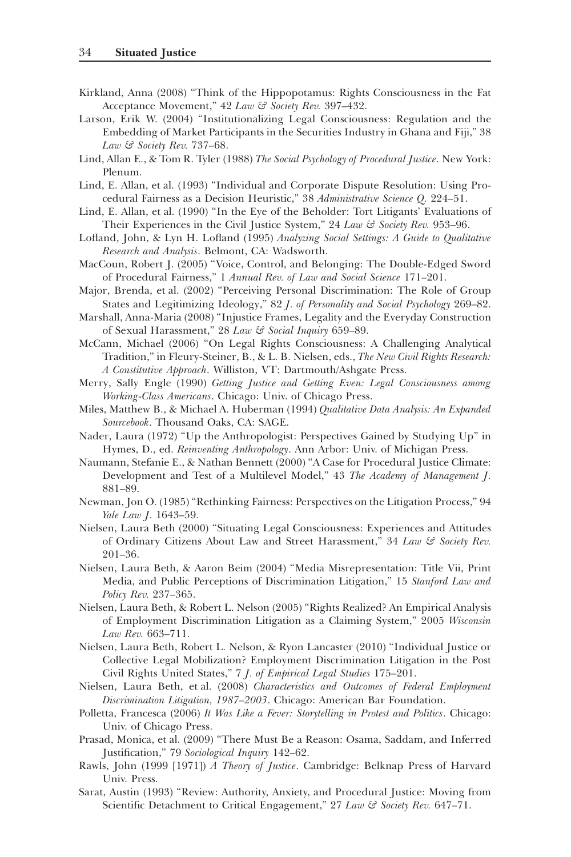- Kirkland, Anna (2008) "Think of the Hippopotamus: Rights Consciousness in the Fat Acceptance Movement," 42 *Law & Society Rev.* 397–432.
- Larson, Erik W. (2004) "Institutionalizing Legal Consciousness: Regulation and the Embedding of Market Participants in the Securities Industry in Ghana and Fiji," 38 *Law & Society Rev.* 737–68.
- Lind, Allan E., & Tom R. Tyler (1988) *The Social Psychology of Procedural Justice*. New York: Plenum.
- Lind, E. Allan, et al. (1993) "Individual and Corporate Dispute Resolution: Using Procedural Fairness as a Decision Heuristic," 38 *Administrative Science Q.* 224–51.
- Lind, E. Allan, et al. (1990) "In the Eye of the Beholder: Tort Litigants' Evaluations of Their Experiences in the Civil Justice System," 24 *Law & Society Rev.* 953–96.
- Lofland, John, & Lyn H. Lofland (1995) *Analyzing Social Settings: A Guide to Qualitative Research and Analysis*. Belmont, CA: Wadsworth.
- MacCoun, Robert J. (2005) "Voice, Control, and Belonging: The Double-Edged Sword of Procedural Fairness," 1 *Annual Rev. of Law and Social Science* 171–201.
- Major, Brenda, et al. (2002) "Perceiving Personal Discrimination: The Role of Group States and Legitimizing Ideology," 82 *J. of Personality and Social Psychology* 269–82.
- Marshall, Anna-Maria (2008) "Injustice Frames, Legality and the Everyday Construction of Sexual Harassment," 28 *Law & Social Inquiry* 659–89.
- McCann, Michael (2006) "On Legal Rights Consciousness: A Challenging Analytical Tradition," in Fleury-Steiner, B., & L. B. Nielsen, eds., *The New Civil Rights Research: A Constitutive Approach*. Williston, VT: Dartmouth/Ashgate Press.
- Merry, Sally Engle (1990) *Getting Justice and Getting Even: Legal Consciousness among Working-Class Americans*. Chicago: Univ. of Chicago Press.
- Miles, Matthew B., & Michael A. Huberman (1994) *Qualitative Data Analysis: An Expanded Sourcebook*. Thousand Oaks, CA: SAGE.
- Nader, Laura (1972) "Up the Anthropologist: Perspectives Gained by Studying Up" in Hymes, D., ed. *Reinventing Anthropology*. Ann Arbor: Univ. of Michigan Press.
- Naumann, Stefanie E., & Nathan Bennett (2000) "A Case for Procedural Justice Climate: Development and Test of a Multilevel Model," 43 *The Academy of Management J.* 881–89.
- Newman, Jon O. (1985) "Rethinking Fairness: Perspectives on the Litigation Process," 94 *Yale Law J.* 1643–59.
- Nielsen, Laura Beth (2000) "Situating Legal Consciousness: Experiences and Attitudes of Ordinary Citizens About Law and Street Harassment," 34 *Law & Society Rev.* 201–36.
- Nielsen, Laura Beth, & Aaron Beim (2004) "Media Misrepresentation: Title Vii, Print Media, and Public Perceptions of Discrimination Litigation," 15 *Stanford Law and Policy Rev.* 237–365.
- Nielsen, Laura Beth, & Robert L. Nelson (2005) "Rights Realized? An Empirical Analysis of Employment Discrimination Litigation as a Claiming System," 2005 *Wisconsin Law Rev.* 663–711.
- Nielsen, Laura Beth, Robert L. Nelson, & Ryon Lancaster (2010) "Individual Justice or Collective Legal Mobilization? Employment Discrimination Litigation in the Post Civil Rights United States," 7 *J. of Empirical Legal Studies* 175–201.
- Nielsen, Laura Beth, et al. (2008) *Characteristics and Outcomes of Federal Employment Discrimination Litigation, 1987–2003*. Chicago: American Bar Foundation.
- Polletta, Francesca (2006) *It Was Like a Fever: Storytelling in Protest and Politics*. Chicago: Univ. of Chicago Press.
- Prasad, Monica, et al. (2009) "There Must Be a Reason: Osama, Saddam, and Inferred Justification," 79 *Sociological Inquiry* 142–62.
- Rawls, John (1999 [1971]) *A Theory of Justice*. Cambridge: Belknap Press of Harvard Univ. Press.
- Sarat, Austin (1993) "Review: Authority, Anxiety, and Procedural Justice: Moving from Scientific Detachment to Critical Engagement," 27 *Law & Society Rev.* 647–71.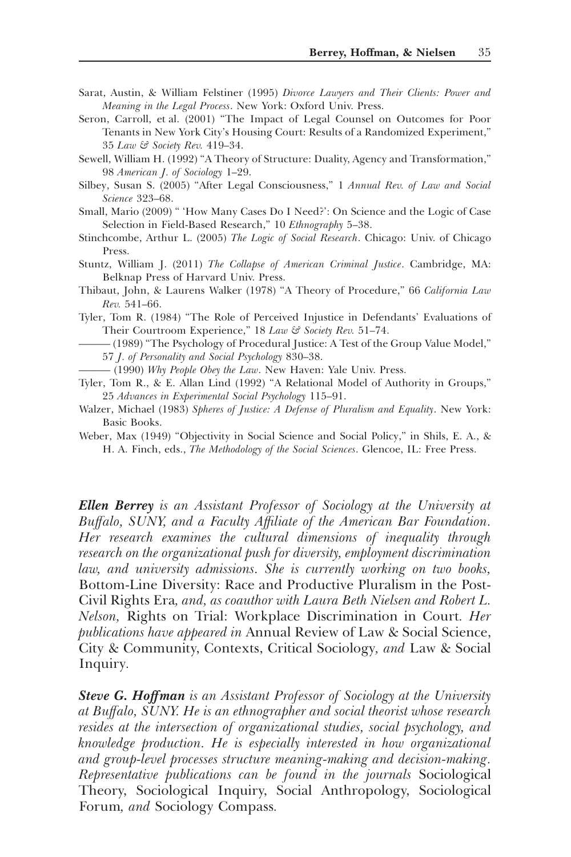- Sarat, Austin, & William Felstiner (1995) *Divorce Lawyers and Their Clients: Power and Meaning in the Legal Process*. New York: Oxford Univ. Press.
- Seron, Carroll, et al. (2001) "The Impact of Legal Counsel on Outcomes for Poor Tenants in New York City's Housing Court: Results of a Randomized Experiment," 35 *Law & Society Rev.* 419–34.
- Sewell, William H. (1992) "A Theory of Structure: Duality, Agency and Transformation," 98 *American J. of Sociology* 1–29.
- Silbey, Susan S. (2005) "After Legal Consciousness," 1 *Annual Rev. of Law and Social Science* 323–68.
- Small, Mario (2009) " 'How Many Cases Do I Need?': On Science and the Logic of Case Selection in Field-Based Research," 10 *Ethnography* 5–38.
- Stinchcombe, Arthur L. (2005) *The Logic of Social Research*. Chicago: Univ. of Chicago Press.
- Stuntz, William J. (2011) *The Collapse of American Criminal Justice*. Cambridge, MA: Belknap Press of Harvard Univ. Press.
- Thibaut, John, & Laurens Walker (1978) "A Theory of Procedure," 66 *California Law Rev.* 541–66.
- Tyler, Tom R. (1984) "The Role of Perceived Injustice in Defendants' Evaluations of Their Courtroom Experience," 18 *Law & Society Rev.* 51–74.
	- ——— (1989) "The Psychology of Procedural Justice: A Test of the Group Value Model," 57 *J. of Personality and Social Psychology* 830–38.
- ——— (1990) *Why People Obey the Law*. New Haven: Yale Univ. Press.
- Tyler, Tom R., & E. Allan Lind (1992) "A Relational Model of Authority in Groups," 25 *Advances in Experimental Social Psychology* 115–91.
- Walzer, Michael (1983) *Spheres of Justice: A Defense of Pluralism and Equality*. New York: Basic Books.
- Weber, Max (1949) "Objectivity in Social Science and Social Policy," in Shils, E. A., & H. A. Finch, eds., *The Methodology of the Social Sciences*. Glencoe, IL: Free Press.

*Ellen Berrey is an Assistant Professor of Sociology at the University at Buffalo, SUNY, and a Faculty Affiliate of the American Bar Foundation. Her research examines the cultural dimensions of inequality through research on the organizational push for diversity, employment discrimination law, and university admissions. She is currently working on two books,* Bottom-Line Diversity: Race and Productive Pluralism in the Post-Civil Rights Era*, and, as coauthor with Laura Beth Nielsen and Robert L. Nelson,* Rights on Trial: Workplace Discrimination in Court*. Her publications have appeared in* Annual Review of Law & Social Science, City & Community, Contexts, Critical Sociology*, and* Law & Social Inquiry*.*

*Steve G. Hoffman is an Assistant Professor of Sociology at the University at Buffalo, SUNY. He is an ethnographer and social theorist whose research resides at the intersection of organizational studies, social psychology, and knowledge production. He is especially interested in how organizational and group-level processes structure meaning-making and decision-making. Representative publications can be found in the journals* Sociological Theory, Sociological Inquiry, Social Anthropology, Sociological Forum*, and* Sociology Compass*.*